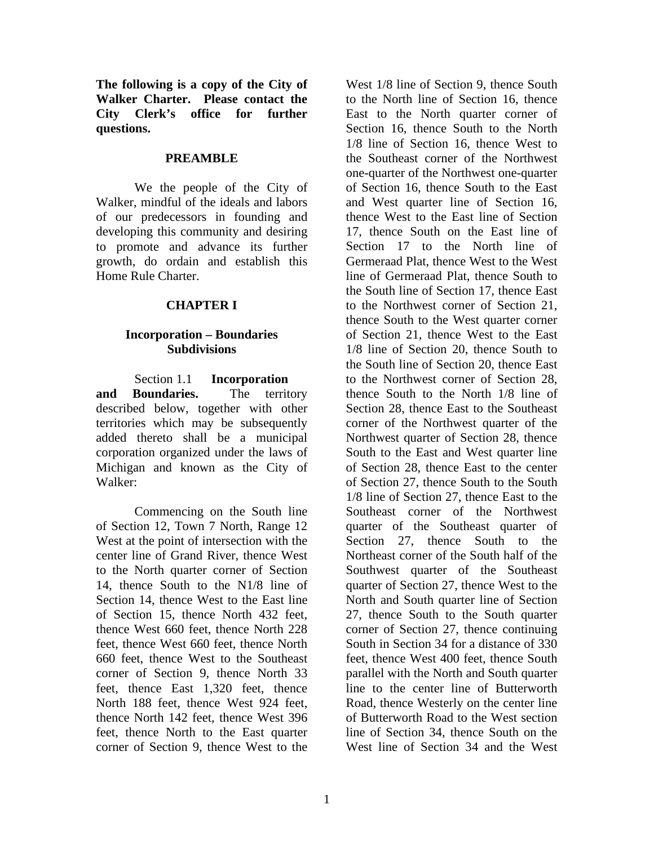**The following is a copy of the City of Walker Charter. Please contact the City Clerk's office for further questions.**

#### **PREAMBLE**

We the people of the City of Walker, mindful of the ideals and labors of our predecessors in founding and developing this community and desiring to promote and advance its further growth, do ordain and establish this Home Rule Charter.

# **CHAPTER I**

#### **Incorporation – Boundaries Subdivisions**

Section 1.1 **Incorporation and Boundaries.** The territory described below, together with other territories which may be subsequently added thereto shall be a municipal corporation organized under the laws of Michigan and known as the City of Walker:

Commencing on the South line of Section 12, Town 7 North, Range 12 West at the point of intersection with the center line of Grand River, thence West to the North quarter corner of Section 14, thence South to the N1/8 line of Section 14, thence West to the East line of Section 15, thence North 432 feet, thence West 660 feet, thence North 228 feet, thence West 660 feet, thence North 660 feet, thence West to the Southeast corner of Section 9, thence North 33 feet, thence East 1,320 feet, thence North 188 feet, thence West 924 feet, thence North 142 feet, thence West 396 feet, thence North to the East quarter corner of Section 9, thence West to the

West 1/8 line of Section 9, thence South to the North line of Section 16, thence East to the North quarter corner of Section 16, thence South to the North 1/8 line of Section 16, thence West to the Southeast corner of the Northwest one-quarter of the Northwest one-quarter of Section 16, thence South to the East and West quarter line of Section 16, thence West to the East line of Section 17, thence South on the East line of Section 17 to the North line of Germeraad Plat, thence West to the West line of Germeraad Plat, thence South to the South line of Section 17, thence East to the Northwest corner of Section 21, thence South to the West quarter corner of Section 21, thence West to the East 1/8 line of Section 20, thence South to the South line of Section 20, thence East to the Northwest corner of Section 28, thence South to the North 1/8 line of Section 28, thence East to the Southeast corner of the Northwest quarter of the Northwest quarter of Section 28, thence South to the East and West quarter line of Section 28, thence East to the center of Section 27, thence South to the South 1/8 line of Section 27, thence East to the Southeast corner of the Northwest quarter of the Southeast quarter of Section 27, thence South to the Northeast corner of the South half of the Southwest quarter of the Southeast quarter of Section 27, thence West to the North and South quarter line of Section 27, thence South to the South quarter corner of Section 27, thence continuing South in Section 34 for a distance of 330 feet, thence West 400 feet, thence South parallel with the North and South quarter line to the center line of Butterworth Road, thence Westerly on the center line of Butterworth Road to the West section line of Section 34, thence South on the West line of Section 34 and the West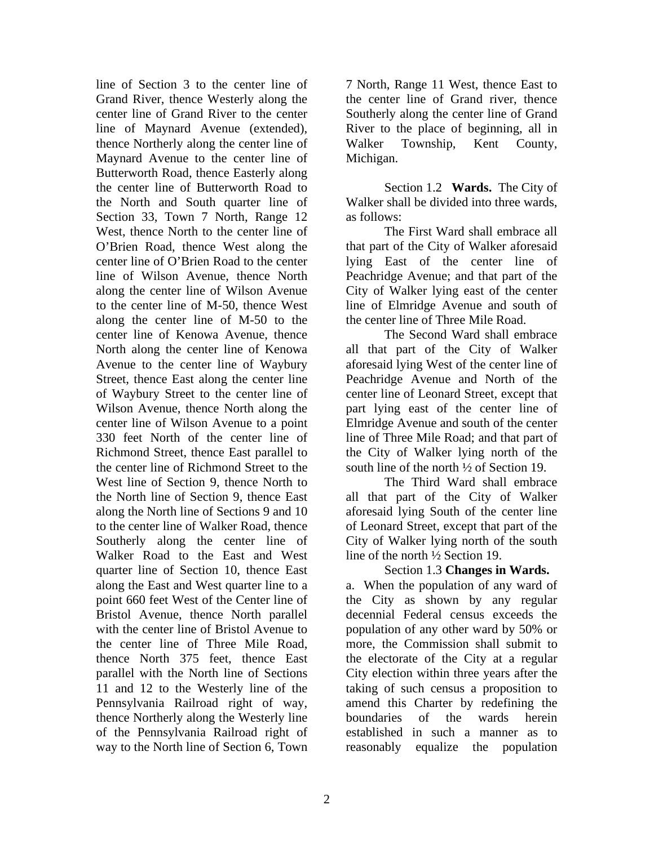line of Section 3 to the center line of Grand River, thence Westerly along the center line of Grand River to the center line of Maynard Avenue (extended), thence Northerly along the center line of Maynard Avenue to the center line of Butterworth Road, thence Easterly along the center line of Butterworth Road to the North and South quarter line of Section 33, Town 7 North, Range 12 West, thence North to the center line of O'Brien Road, thence West along the center line of O'Brien Road to the center line of Wilson Avenue, thence North along the center line of Wilson Avenue to the center line of M-50, thence West along the center line of M-50 to the center line of Kenowa Avenue, thence North along the center line of Kenowa Avenue to the center line of Waybury Street, thence East along the center line of Waybury Street to the center line of Wilson Avenue, thence North along the center line of Wilson Avenue to a point 330 feet North of the center line of Richmond Street, thence East parallel to the center line of Richmond Street to the West line of Section 9, thence North to the North line of Section 9, thence East along the North line of Sections 9 and 10 to the center line of Walker Road, thence Southerly along the center line of Walker Road to the East and West quarter line of Section 10, thence East along the East and West quarter line to a point 660 feet West of the Center line of Bristol Avenue, thence North parallel with the center line of Bristol Avenue to the center line of Three Mile Road, thence North 375 feet, thence East parallel with the North line of Sections 11 and 12 to the Westerly line of the Pennsylvania Railroad right of way, thence Northerly along the Westerly line of the Pennsylvania Railroad right of way to the North line of Section 6, Town

7 North, Range 11 West, thence East to the center line of Grand river, thence Southerly along the center line of Grand River to the place of beginning, all in Walker Township, Kent County, Michigan.

Section 1.2 **Wards.** The City of Walker shall be divided into three wards, as follows:

The First Ward shall embrace all that part of the City of Walker aforesaid lying East of the center line of Peachridge Avenue; and that part of the City of Walker lying east of the center line of Elmridge Avenue and south of the center line of Three Mile Road.

The Second Ward shall embrace all that part of the City of Walker aforesaid lying West of the center line of Peachridge Avenue and North of the center line of Leonard Street, except that part lying east of the center line of Elmridge Avenue and south of the center line of Three Mile Road; and that part of the City of Walker lying north of the south line of the north ½ of Section 19.

The Third Ward shall embrace all that part of the City of Walker aforesaid lying South of the center line of Leonard Street, except that part of the City of Walker lying north of the south line of the north ½ Section 19.

Section 1.3 **Changes in Wards.** a. When the population of any ward of the City as shown by any regular decennial Federal census exceeds the population of any other ward by 50% or more, the Commission shall submit to the electorate of the City at a regular City election within three years after the taking of such census a proposition to amend this Charter by redefining the boundaries of the wards herein established in such a manner as to reasonably equalize the population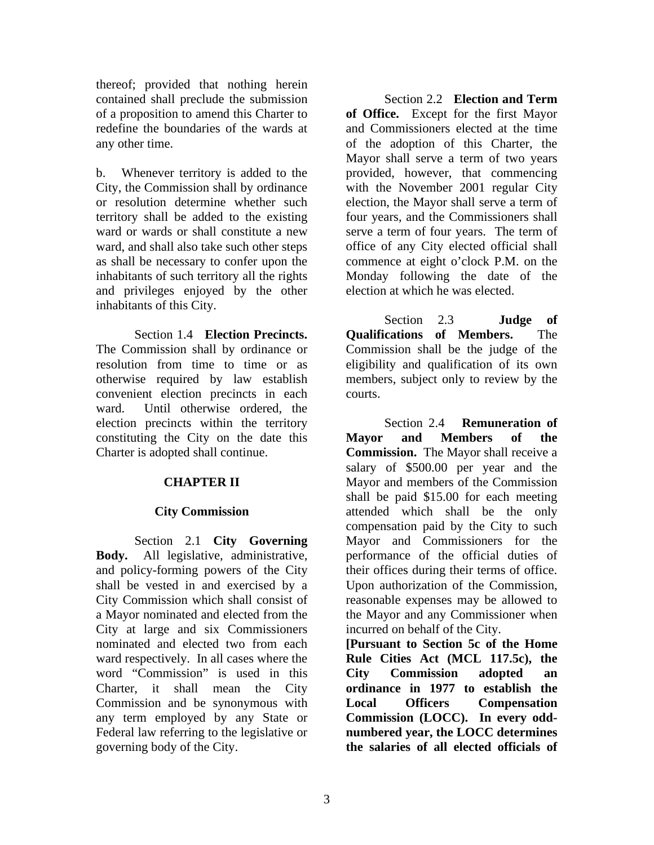thereof; provided that nothing herein contained shall preclude the submission of a proposition to amend this Charter to redefine the boundaries of the wards at any other time.

b. Whenever territory is added to the City, the Commission shall by ordinance or resolution determine whether such territory shall be added to the existing ward or wards or shall constitute a new ward, and shall also take such other steps as shall be necessary to confer upon the inhabitants of such territory all the rights and privileges enjoyed by the other inhabitants of this City.

Section 1.4 **Election Precincts.** The Commission shall by ordinance or resolution from time to time or as otherwise required by law establish convenient election precincts in each ward. Until otherwise ordered, the election precincts within the territory constituting the City on the date this Charter is adopted shall continue.

#### **CHAPTER II**

#### **City Commission**

Section 2.1 **City Governing Body.** All legislative, administrative, and policy-forming powers of the City shall be vested in and exercised by a City Commission which shall consist of a Mayor nominated and elected from the City at large and six Commissioners nominated and elected two from each ward respectively. In all cases where the word "Commission" is used in this Charter, it shall mean the City Commission and be synonymous with any term employed by any State or Federal law referring to the legislative or governing body of the City.

Section 2.2 **Election and Term of Office.** Except for the first Mayor and Commissioners elected at the time of the adoption of this Charter, the Mayor shall serve a term of two years provided, however, that commencing with the November 2001 regular City election, the Mayor shall serve a term of four years, and the Commissioners shall serve a term of four years. The term of office of any City elected official shall commence at eight o'clock P.M. on the Monday following the date of the election at which he was elected.

Section 2.3 **Judge of Qualifications of Members.** The Commission shall be the judge of the eligibility and qualification of its own members, subject only to review by the courts.

Section 2.4 **Remuneration of Mayor and Members of the Commission.** The Mayor shall receive a salary of \$500.00 per year and the Mayor and members of the Commission shall be paid \$15.00 for each meeting attended which shall be the only compensation paid by the City to such Mayor and Commissioners for the performance of the official duties of their offices during their terms of office. Upon authorization of the Commission, reasonable expenses may be allowed to the Mayor and any Commissioner when incurred on behalf of the City.

**[Pursuant to Section 5c of the Home Rule Cities Act (MCL 117.5c), the City Commission adopted an ordinance in 1977 to establish the Local Officers Compensation Commission (LOCC). In every oddnumbered year, the LOCC determines the salaries of all elected officials of**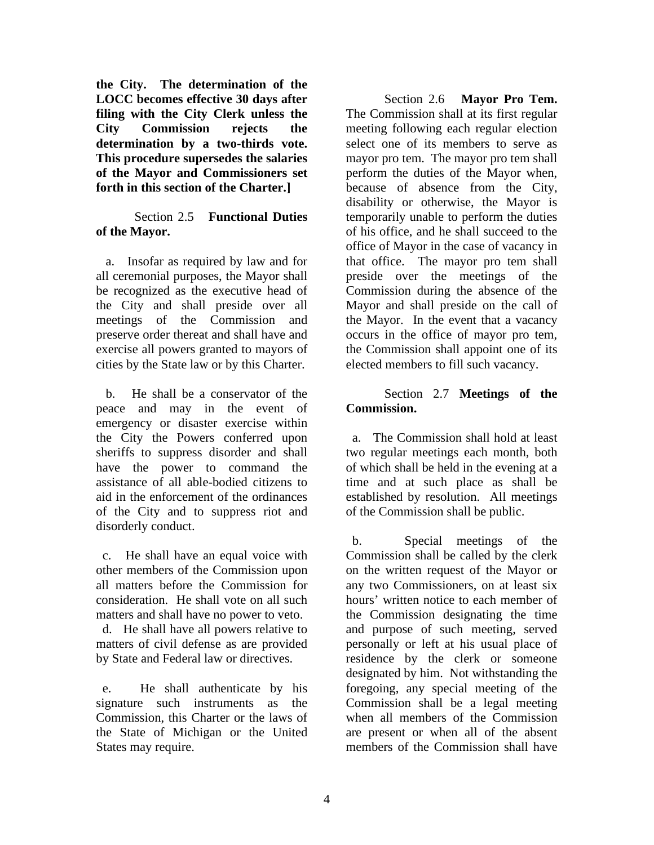**the City. The determination of the LOCC becomes effective 30 days after filing with the City Clerk unless the City Commission rejects the determination by a two-thirds vote. This procedure supersedes the salaries of the Mayor and Commissioners set forth in this section of the Charter.]**

### Section 2.5 **Functional Duties of the Mayor.**

 a. Insofar as required by law and for all ceremonial purposes, the Mayor shall be recognized as the executive head of the City and shall preside over all meetings of the Commission and preserve order thereat and shall have and exercise all powers granted to mayors of cities by the State law or by this Charter.

 b. He shall be a conservator of the peace and may in the event of emergency or disaster exercise within the City the Powers conferred upon sheriffs to suppress disorder and shall have the power to command the assistance of all able-bodied citizens to aid in the enforcement of the ordinances of the City and to suppress riot and disorderly conduct.

 c. He shall have an equal voice with other members of the Commission upon all matters before the Commission for consideration. He shall vote on all such matters and shall have no power to veto.

 d. He shall have all powers relative to matters of civil defense as are provided by State and Federal law or directives.

 e. He shall authenticate by his signature such instruments as the Commission, this Charter or the laws of the State of Michigan or the United States may require.

Section 2.6 **Mayor Pro Tem.** The Commission shall at its first regular meeting following each regular election select one of its members to serve as mayor pro tem. The mayor pro tem shall perform the duties of the Mayor when, because of absence from the City, disability or otherwise, the Mayor is temporarily unable to perform the duties of his office, and he shall succeed to the office of Mayor in the case of vacancy in that office. The mayor pro tem shall preside over the meetings of the Commission during the absence of the Mayor and shall preside on the call of the Mayor. In the event that a vacancy occurs in the office of mayor pro tem, the Commission shall appoint one of its elected members to fill such vacancy.

# Section 2.7 **Meetings of the Commission.**

 a. The Commission shall hold at least two regular meetings each month, both of which shall be held in the evening at a time and at such place as shall be established by resolution. All meetings of the Commission shall be public.

 b. Special meetings of the Commission shall be called by the clerk on the written request of the Mayor or any two Commissioners, on at least six hours' written notice to each member of the Commission designating the time and purpose of such meeting, served personally or left at his usual place of residence by the clerk or someone designated by him. Not withstanding the foregoing, any special meeting of the Commission shall be a legal meeting when all members of the Commission are present or when all of the absent members of the Commission shall have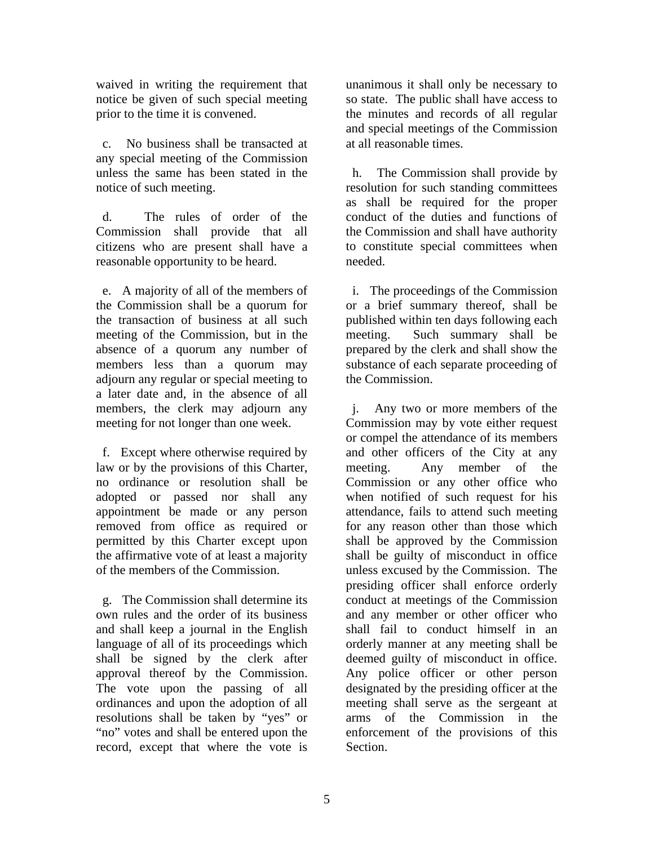waived in writing the requirement that notice be given of such special meeting prior to the time it is convened.

 c. No business shall be transacted at any special meeting of the Commission unless the same has been stated in the notice of such meeting.

 d. The rules of order of the Commission shall provide that all citizens who are present shall have a reasonable opportunity to be heard.

 e. A majority of all of the members of the Commission shall be a quorum for the transaction of business at all such meeting of the Commission, but in the absence of a quorum any number of members less than a quorum may adjourn any regular or special meeting to a later date and, in the absence of all members, the clerk may adjourn any meeting for not longer than one week.

 f. Except where otherwise required by law or by the provisions of this Charter, no ordinance or resolution shall be adopted or passed nor shall any appointment be made or any person removed from office as required or permitted by this Charter except upon the affirmative vote of at least a majority of the members of the Commission.

 g. The Commission shall determine its own rules and the order of its business and shall keep a journal in the English language of all of its proceedings which shall be signed by the clerk after approval thereof by the Commission. The vote upon the passing of all ordinances and upon the adoption of all resolutions shall be taken by "yes" or "no" votes and shall be entered upon the record, except that where the vote is

unanimous it shall only be necessary to so state. The public shall have access to the minutes and records of all regular and special meetings of the Commission at all reasonable times.

 h. The Commission shall provide by resolution for such standing committees as shall be required for the proper conduct of the duties and functions of the Commission and shall have authority to constitute special committees when needed.

 i. The proceedings of the Commission or a brief summary thereof, shall be published within ten days following each meeting. Such summary shall be prepared by the clerk and shall show the substance of each separate proceeding of the Commission.

 j. Any two or more members of the Commission may by vote either request or compel the attendance of its members and other officers of the City at any meeting. Any member of the Commission or any other office who when notified of such request for his attendance, fails to attend such meeting for any reason other than those which shall be approved by the Commission shall be guilty of misconduct in office unless excused by the Commission. The presiding officer shall enforce orderly conduct at meetings of the Commission and any member or other officer who shall fail to conduct himself in an orderly manner at any meeting shall be deemed guilty of misconduct in office. Any police officer or other person designated by the presiding officer at the meeting shall serve as the sergeant at arms of the Commission in the enforcement of the provisions of this Section.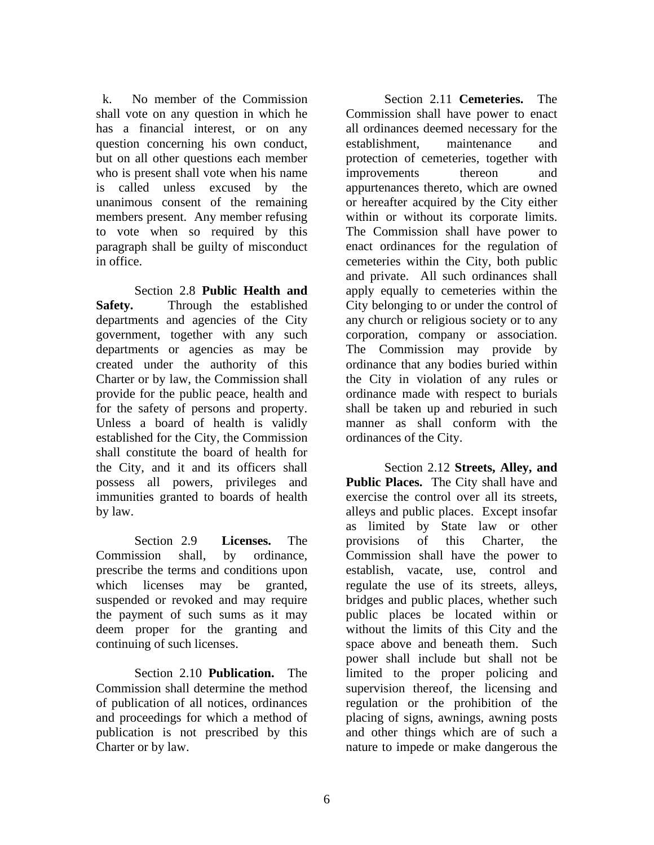k. No member of the Commission shall vote on any question in which he has a financial interest, or on any question concerning his own conduct, but on all other questions each member who is present shall vote when his name is called unless excused by the unanimous consent of the remaining members present. Any member refusing to vote when so required by this paragraph shall be guilty of misconduct in office.

Section 2.8 **Public Health and Safety.** Through the established departments and agencies of the City government, together with any such departments or agencies as may be created under the authority of this Charter or by law, the Commission shall provide for the public peace, health and for the safety of persons and property. Unless a board of health is validly established for the City, the Commission shall constitute the board of health for the City, and it and its officers shall possess all powers, privileges and immunities granted to boards of health by law.

Section 2.9 **Licenses.** The Commission shall, by ordinance, prescribe the terms and conditions upon which licenses may be granted, suspended or revoked and may require the payment of such sums as it may deem proper for the granting and continuing of such licenses.

Section 2.10 **Publication.** The Commission shall determine the method of publication of all notices, ordinances and proceedings for which a method of publication is not prescribed by this Charter or by law.

Section 2.11 **Cemeteries.** The Commission shall have power to enact all ordinances deemed necessary for the establishment, maintenance and protection of cemeteries, together with improvements thereon and appurtenances thereto, which are owned or hereafter acquired by the City either within or without its corporate limits. The Commission shall have power to enact ordinances for the regulation of cemeteries within the City, both public and private. All such ordinances shall apply equally to cemeteries within the City belonging to or under the control of any church or religious society or to any corporation, company or association. The Commission may provide by ordinance that any bodies buried within the City in violation of any rules or ordinance made with respect to burials shall be taken up and reburied in such manner as shall conform with the ordinances of the City.

Section 2.12 **Streets, Alley, and Public Places.** The City shall have and exercise the control over all its streets, alleys and public places. Except insofar as limited by State law or other provisions of this Charter, the Commission shall have the power to establish, vacate, use, control and regulate the use of its streets, alleys, bridges and public places, whether such public places be located within or without the limits of this City and the space above and beneath them. Such power shall include but shall not be limited to the proper policing and supervision thereof, the licensing and regulation or the prohibition of the placing of signs, awnings, awning posts and other things which are of such a nature to impede or make dangerous the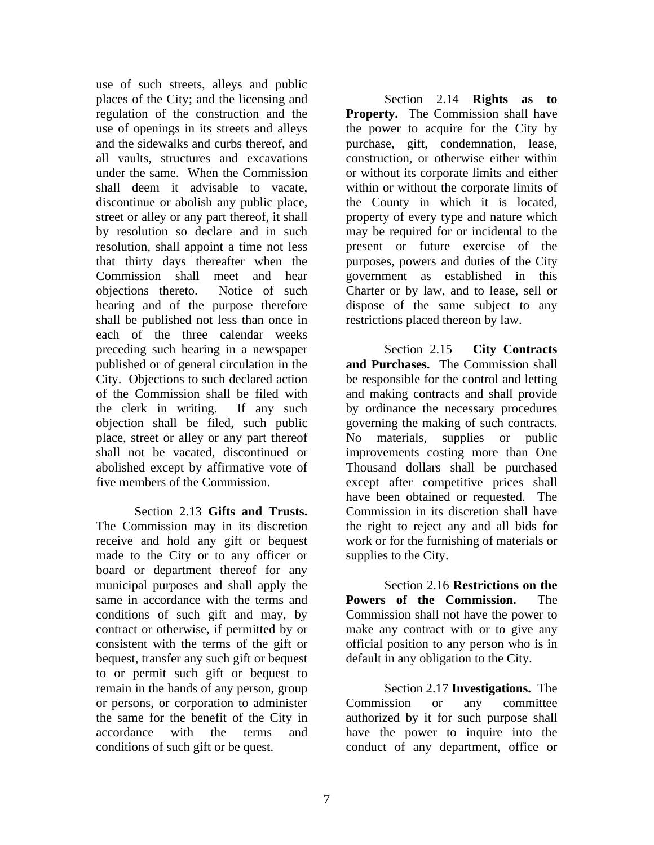use of such streets, alleys and public places of the City; and the licensing and regulation of the construction and the use of openings in its streets and alleys and the sidewalks and curbs thereof, and all vaults, structures and excavations under the same. When the Commission shall deem it advisable to vacate, discontinue or abolish any public place, street or alley or any part thereof, it shall by resolution so declare and in such resolution, shall appoint a time not less that thirty days thereafter when the Commission shall meet and hear objections thereto. Notice of such hearing and of the purpose therefore shall be published not less than once in each of the three calendar weeks preceding such hearing in a newspaper published or of general circulation in the City. Objections to such declared action of the Commission shall be filed with the clerk in writing. If any such objection shall be filed, such public place, street or alley or any part thereof shall not be vacated, discontinued or abolished except by affirmative vote of five members of the Commission.

Section 2.13 **Gifts and Trusts.** The Commission may in its discretion receive and hold any gift or bequest made to the City or to any officer or board or department thereof for any municipal purposes and shall apply the same in accordance with the terms and conditions of such gift and may, by contract or otherwise, if permitted by or consistent with the terms of the gift or bequest, transfer any such gift or bequest to or permit such gift or bequest to remain in the hands of any person, group or persons, or corporation to administer the same for the benefit of the City in accordance with the terms and conditions of such gift or be quest.

Section 2.14 **Rights as to Property.** The Commission shall have the power to acquire for the City by purchase, gift, condemnation, lease, construction, or otherwise either within or without its corporate limits and either within or without the corporate limits of the County in which it is located, property of every type and nature which may be required for or incidental to the present or future exercise of the purposes, powers and duties of the City government as established in this Charter or by law, and to lease, sell or dispose of the same subject to any restrictions placed thereon by law.

Section 2.15 **City Contracts and Purchases.** The Commission shall be responsible for the control and letting and making contracts and shall provide by ordinance the necessary procedures governing the making of such contracts. No materials, supplies or public improvements costing more than One Thousand dollars shall be purchased except after competitive prices shall have been obtained or requested. The Commission in its discretion shall have the right to reject any and all bids for work or for the furnishing of materials or supplies to the City.

Section 2.16 **Restrictions on the Powers of the Commission.** The Commission shall not have the power to make any contract with or to give any official position to any person who is in default in any obligation to the City.

Section 2.17 **Investigations.** The Commission or any committee authorized by it for such purpose shall have the power to inquire into the conduct of any department, office or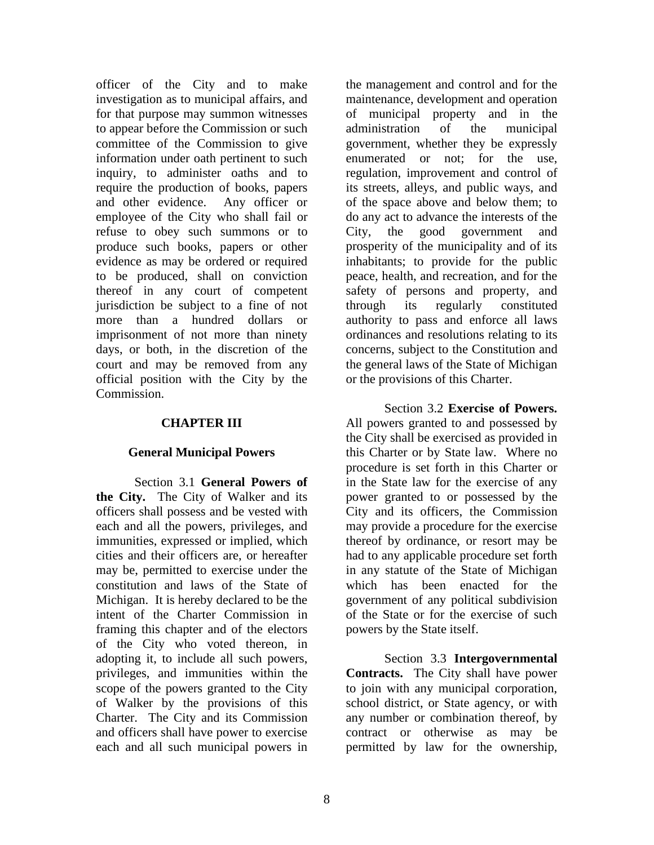officer of the City and to make investigation as to municipal affairs, and for that purpose may summon witnesses to appear before the Commission or such committee of the Commission to give information under oath pertinent to such inquiry, to administer oaths and to require the production of books, papers and other evidence. Any officer or employee of the City who shall fail or refuse to obey such summons or to produce such books, papers or other evidence as may be ordered or required to be produced, shall on conviction thereof in any court of competent jurisdiction be subject to a fine of not more than a hundred dollars or imprisonment of not more than ninety days, or both, in the discretion of the court and may be removed from any official position with the City by the Commission.

### **CHAPTER III**

#### **General Municipal Powers**

Section 3.1 **General Powers of the City.** The City of Walker and its officers shall possess and be vested with each and all the powers, privileges, and immunities, expressed or implied, which cities and their officers are, or hereafter may be, permitted to exercise under the constitution and laws of the State of Michigan. It is hereby declared to be the intent of the Charter Commission in framing this chapter and of the electors of the City who voted thereon, in adopting it, to include all such powers, privileges, and immunities within the scope of the powers granted to the City of Walker by the provisions of this Charter. The City and its Commission and officers shall have power to exercise each and all such municipal powers in

the management and control and for the maintenance, development and operation of municipal property and in the administration of the municipal government, whether they be expressly enumerated or not; for the use, regulation, improvement and control of its streets, alleys, and public ways, and of the space above and below them; to do any act to advance the interests of the City, the good government and prosperity of the municipality and of its inhabitants; to provide for the public peace, health, and recreation, and for the safety of persons and property, and through its regularly constituted authority to pass and enforce all laws ordinances and resolutions relating to its concerns, subject to the Constitution and the general laws of the State of Michigan or the provisions of this Charter.

Section 3.2 **Exercise of Powers.** All powers granted to and possessed by the City shall be exercised as provided in this Charter or by State law. Where no procedure is set forth in this Charter or in the State law for the exercise of any power granted to or possessed by the City and its officers, the Commission may provide a procedure for the exercise thereof by ordinance, or resort may be had to any applicable procedure set forth in any statute of the State of Michigan which has been enacted for the government of any political subdivision of the State or for the exercise of such powers by the State itself.

Section 3.3 **Intergovernmental Contracts.** The City shall have power to join with any municipal corporation, school district, or State agency, or with any number or combination thereof, by contract or otherwise as may be permitted by law for the ownership,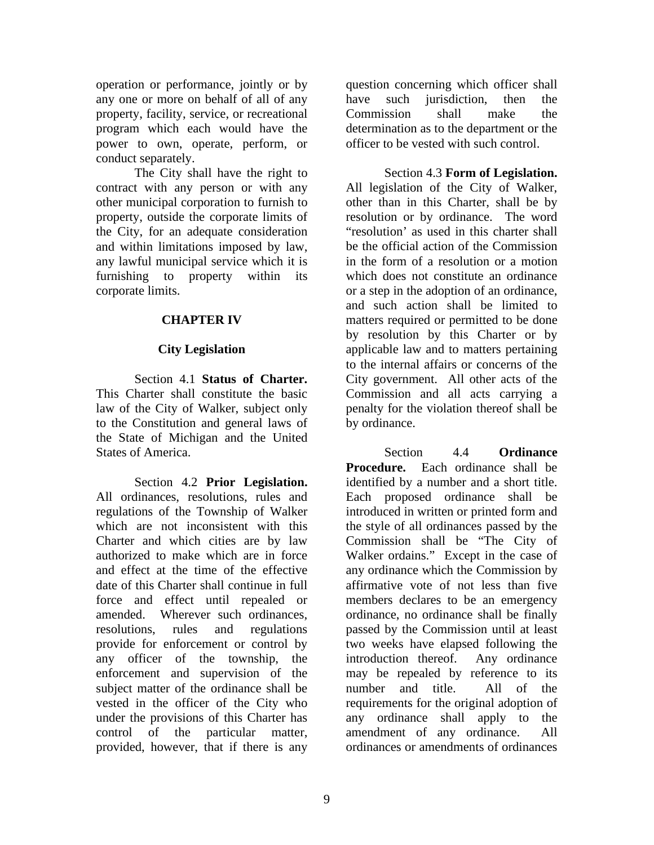operation or performance, jointly or by any one or more on behalf of all of any property, facility, service, or recreational program which each would have the power to own, operate, perform, or conduct separately.

The City shall have the right to contract with any person or with any other municipal corporation to furnish to property, outside the corporate limits of the City, for an adequate consideration and within limitations imposed by law, any lawful municipal service which it is furnishing to property within its corporate limits.

# **CHAPTER IV**

# **City Legislation**

Section 4.1 **Status of Charter.**  This Charter shall constitute the basic law of the City of Walker, subject only to the Constitution and general laws of the State of Michigan and the United States of America.

Section 4.2 **Prior Legislation.** All ordinances, resolutions, rules and regulations of the Township of Walker which are not inconsistent with this Charter and which cities are by law authorized to make which are in force and effect at the time of the effective date of this Charter shall continue in full force and effect until repealed or amended. Wherever such ordinances, resolutions, rules and regulations provide for enforcement or control by any officer of the township, the enforcement and supervision of the subject matter of the ordinance shall be vested in the officer of the City who under the provisions of this Charter has control of the particular matter, provided, however, that if there is any

question concerning which officer shall have such jurisdiction, then the Commission shall make the determination as to the department or the officer to be vested with such control.

Section 4.3 **Form of Legislation.** All legislation of the City of Walker, other than in this Charter, shall be by resolution or by ordinance. The word "resolution' as used in this charter shall be the official action of the Commission in the form of a resolution or a motion which does not constitute an ordinance or a step in the adoption of an ordinance, and such action shall be limited to matters required or permitted to be done by resolution by this Charter or by applicable law and to matters pertaining to the internal affairs or concerns of the City government. All other acts of the Commission and all acts carrying a penalty for the violation thereof shall be by ordinance.

Section 4.4 **Ordinance Procedure.** Each ordinance shall be identified by a number and a short title. Each proposed ordinance shall be introduced in written or printed form and the style of all ordinances passed by the Commission shall be "The City of Walker ordains." Except in the case of any ordinance which the Commission by affirmative vote of not less than five members declares to be an emergency ordinance, no ordinance shall be finally passed by the Commission until at least two weeks have elapsed following the introduction thereof. Any ordinance may be repealed by reference to its number and title. All of the requirements for the original adoption of any ordinance shall apply to the amendment of any ordinance. All ordinances or amendments of ordinances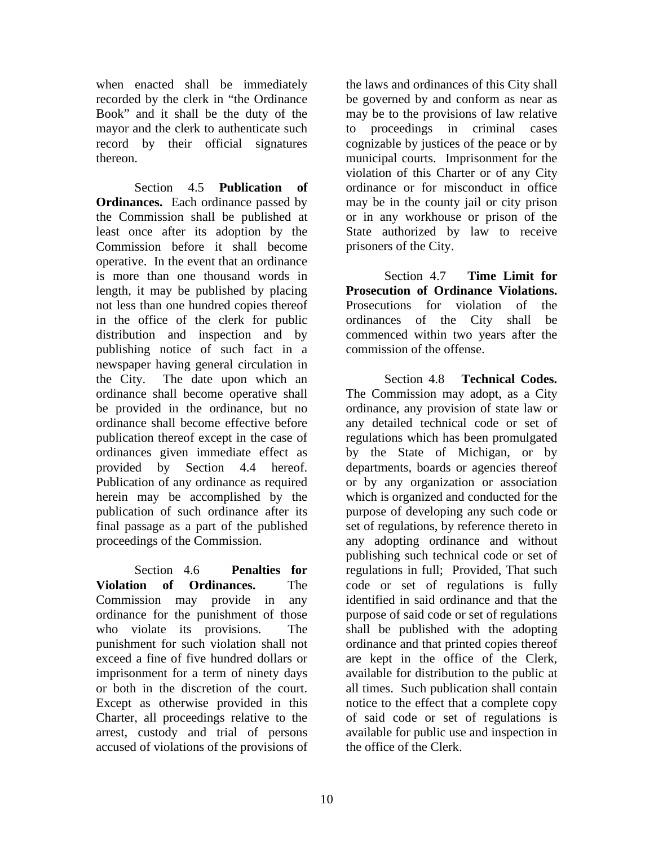when enacted shall be immediately recorded by the clerk in "the Ordinance Book" and it shall be the duty of the mayor and the clerk to authenticate such record by their official signatures thereon.

Section 4.5 **Publication of Ordinances.** Each ordinance passed by the Commission shall be published at least once after its adoption by the Commission before it shall become operative. In the event that an ordinance is more than one thousand words in length, it may be published by placing not less than one hundred copies thereof in the office of the clerk for public distribution and inspection and by publishing notice of such fact in a newspaper having general circulation in the City. The date upon which an ordinance shall become operative shall be provided in the ordinance, but no ordinance shall become effective before publication thereof except in the case of ordinances given immediate effect as provided by Section 4.4 hereof. Publication of any ordinance as required herein may be accomplished by the publication of such ordinance after its final passage as a part of the published proceedings of the Commission.

Section 4.6 **Penalties for Violation of Ordinances.** The Commission may provide in any ordinance for the punishment of those who violate its provisions. The punishment for such violation shall not exceed a fine of five hundred dollars or imprisonment for a term of ninety days or both in the discretion of the court. Except as otherwise provided in this Charter, all proceedings relative to the arrest, custody and trial of persons accused of violations of the provisions of the laws and ordinances of this City shall be governed by and conform as near as may be to the provisions of law relative to proceedings in criminal cases cognizable by justices of the peace or by municipal courts. Imprisonment for the violation of this Charter or of any City ordinance or for misconduct in office may be in the county jail or city prison or in any workhouse or prison of the State authorized by law to receive prisoners of the City.

Section 4.7 **Time Limit for Prosecution of Ordinance Violations.** Prosecutions for violation of the ordinances of the City shall be commenced within two years after the commission of the offense.

Section 4.8 **Technical Codes.** The Commission may adopt, as a City ordinance, any provision of state law or any detailed technical code or set of regulations which has been promulgated by the State of Michigan, or by departments, boards or agencies thereof or by any organization or association which is organized and conducted for the purpose of developing any such code or set of regulations, by reference thereto in any adopting ordinance and without publishing such technical code or set of regulations in full; Provided, That such code or set of regulations is fully identified in said ordinance and that the purpose of said code or set of regulations shall be published with the adopting ordinance and that printed copies thereof are kept in the office of the Clerk, available for distribution to the public at all times. Such publication shall contain notice to the effect that a complete copy of said code or set of regulations is available for public use and inspection in the office of the Clerk.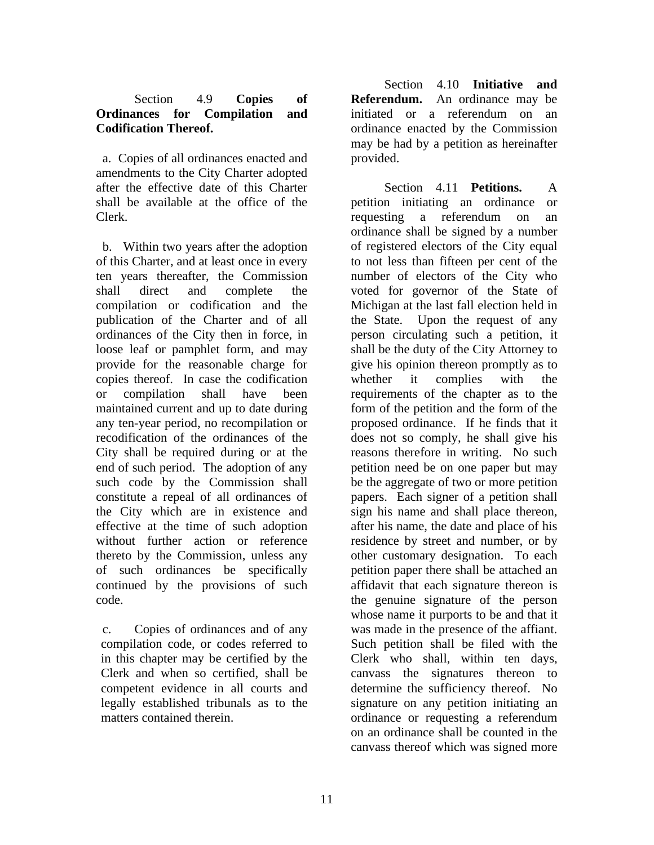# Section 4.9 **Copies of Ordinances for Compilation and Codification Thereof.**

 a. Copies of all ordinances enacted and amendments to the City Charter adopted after the effective date of this Charter shall be available at the office of the Clerk.

 b. Within two years after the adoption of this Charter, and at least once in every ten years thereafter, the Commission shall direct and complete the compilation or codification and the publication of the Charter and of all ordinances of the City then in force, in loose leaf or pamphlet form, and may provide for the reasonable charge for copies thereof. In case the codification or compilation shall have been maintained current and up to date during any ten-year period, no recompilation or recodification of the ordinances of the City shall be required during or at the end of such period. The adoption of any such code by the Commission shall constitute a repeal of all ordinances of the City which are in existence and effective at the time of such adoption without further action or reference thereto by the Commission, unless any of such ordinances be specifically continued by the provisions of such code.

c. Copies of ordinances and of any compilation code, or codes referred to in this chapter may be certified by the Clerk and when so certified, shall be competent evidence in all courts and legally established tribunals as to the matters contained therein.

Section 4.10 **Initiative and Referendum.** An ordinance may be initiated or a referendum on an ordinance enacted by the Commission may be had by a petition as hereinafter provided.

Section 4.11 **Petitions.** A petition initiating an ordinance or requesting a referendum on an ordinance shall be signed by a number of registered electors of the City equal to not less than fifteen per cent of the number of electors of the City who voted for governor of the State of Michigan at the last fall election held in the State. Upon the request of any person circulating such a petition, it shall be the duty of the City Attorney to give his opinion thereon promptly as to whether it complies with the requirements of the chapter as to the form of the petition and the form of the proposed ordinance. If he finds that it does not so comply, he shall give his reasons therefore in writing. No such petition need be on one paper but may be the aggregate of two or more petition papers. Each signer of a petition shall sign his name and shall place thereon, after his name, the date and place of his residence by street and number, or by other customary designation. To each petition paper there shall be attached an affidavit that each signature thereon is the genuine signature of the person whose name it purports to be and that it was made in the presence of the affiant. Such petition shall be filed with the Clerk who shall, within ten days, canvass the signatures thereon to determine the sufficiency thereof. No signature on any petition initiating an ordinance or requesting a referendum on an ordinance shall be counted in the canvass thereof which was signed more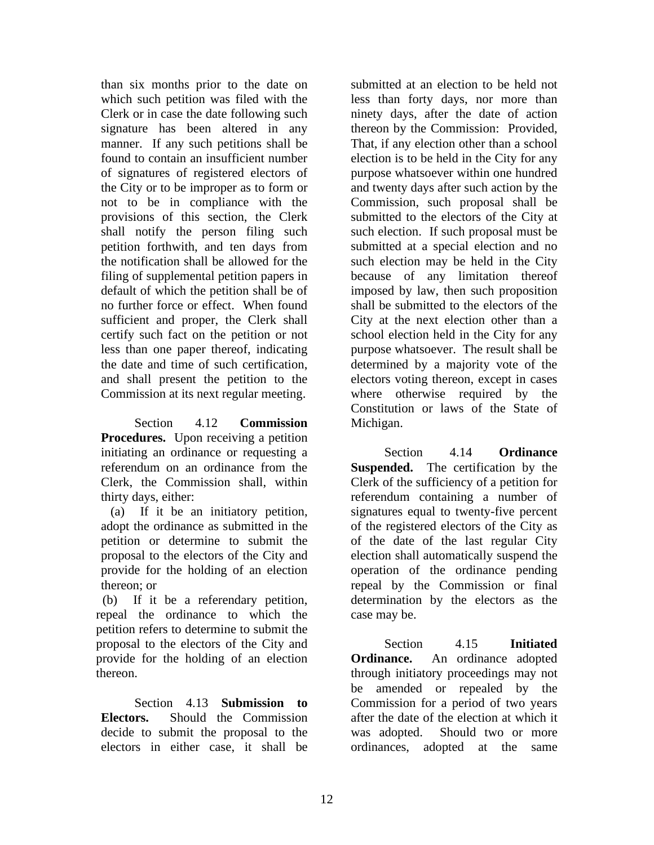than six months prior to the date on which such petition was filed with the Clerk or in case the date following such signature has been altered in any manner. If any such petitions shall be found to contain an insufficient number of signatures of registered electors of the City or to be improper as to form or not to be in compliance with the provisions of this section, the Clerk shall notify the person filing such petition forthwith, and ten days from the notification shall be allowed for the filing of supplemental petition papers in default of which the petition shall be of no further force or effect. When found sufficient and proper, the Clerk shall certify such fact on the petition or not less than one paper thereof, indicating the date and time of such certification, and shall present the petition to the Commission at its next regular meeting.

Section 4.12 **Commission Procedures.** Upon receiving a petition initiating an ordinance or requesting a referendum on an ordinance from the Clerk, the Commission shall, within thirty days, either:

 (a) If it be an initiatory petition, adopt the ordinance as submitted in the petition or determine to submit the proposal to the electors of the City and provide for the holding of an election thereon; or

 (b) If it be a referendary petition, repeal the ordinance to which the petition refers to determine to submit the proposal to the electors of the City and provide for the holding of an election thereon.

Section 4.13 **Submission to Electors.** Should the Commission decide to submit the proposal to the electors in either case, it shall be

submitted at an election to be held not less than forty days, nor more than ninety days, after the date of action thereon by the Commission: Provided, That, if any election other than a school election is to be held in the City for any purpose whatsoever within one hundred and twenty days after such action by the Commission, such proposal shall be submitted to the electors of the City at such election. If such proposal must be submitted at a special election and no such election may be held in the City because of any limitation thereof imposed by law, then such proposition shall be submitted to the electors of the City at the next election other than a school election held in the City for any purpose whatsoever. The result shall be determined by a majority vote of the electors voting thereon, except in cases where otherwise required by the Constitution or laws of the State of Michigan.

Section 4.14 **Ordinance** Suspended. The certification by the Clerk of the sufficiency of a petition for referendum containing a number of signatures equal to twenty-five percent of the registered electors of the City as of the date of the last regular City election shall automatically suspend the operation of the ordinance pending repeal by the Commission or final determination by the electors as the case may be.

Section 4.15 **Initiated Ordinance.** An ordinance adopted through initiatory proceedings may not be amended or repealed by the Commission for a period of two years after the date of the election at which it was adopted. Should two or more ordinances, adopted at the same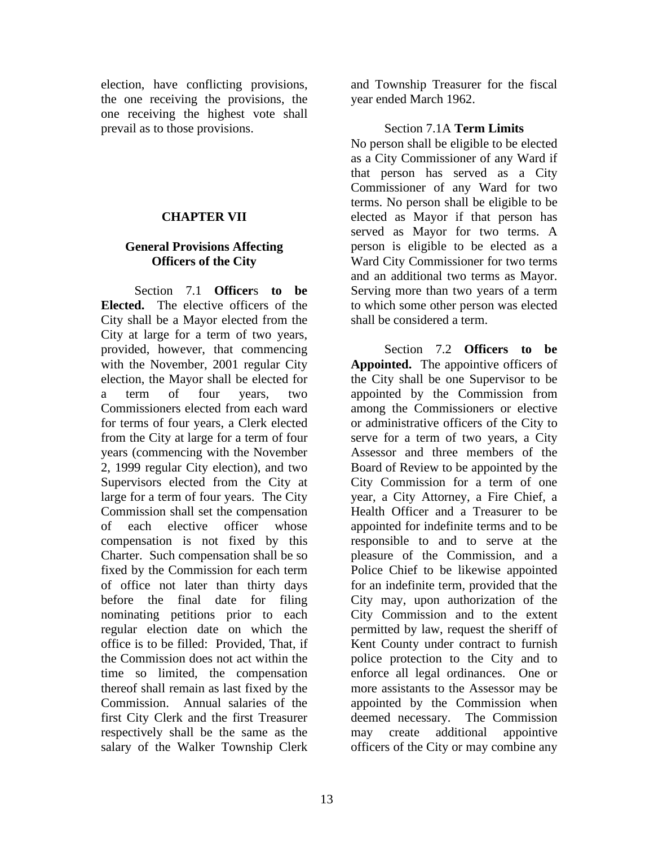election, have conflicting provisions, the one receiving the provisions, the one receiving the highest vote shall prevail as to those provisions.

#### **CHAPTER VII**

# **General Provisions Affecting Officers of the City**

Section 7.1 **Officer**s **to be Elected.** The elective officers of the City shall be a Mayor elected from the City at large for a term of two years, provided, however, that commencing with the November, 2001 regular City election, the Mayor shall be elected for a term of four years, two Commissioners elected from each ward for terms of four years, a Clerk elected from the City at large for a term of four years (commencing with the November 2, 1999 regular City election), and two Supervisors elected from the City at large for a term of four years. The City Commission shall set the compensation of each elective officer whose compensation is not fixed by this Charter. Such compensation shall be so fixed by the Commission for each term of office not later than thirty days before the final date for filing nominating petitions prior to each regular election date on which the office is to be filled: Provided, That, if the Commission does not act within the time so limited, the compensation thereof shall remain as last fixed by the Commission. Annual salaries of the first City Clerk and the first Treasurer respectively shall be the same as the salary of the Walker Township Clerk

and Township Treasurer for the fiscal year ended March 1962.

#### Section 7.1A **Term Limits**

No person shall be eligible to be elected as a City Commissioner of any Ward if that person has served as a City Commissioner of any Ward for two terms. No person shall be eligible to be elected as Mayor if that person has served as Mayor for two terms. A person is eligible to be elected as a Ward City Commissioner for two terms and an additional two terms as Mayor. Serving more than two years of a term to which some other person was elected shall be considered a term.

Section 7.2 **Officers to be Appointed.** The appointive officers of the City shall be one Supervisor to be appointed by the Commission from among the Commissioners or elective or administrative officers of the City to serve for a term of two years, a City Assessor and three members of the Board of Review to be appointed by the City Commission for a term of one year, a City Attorney, a Fire Chief, a Health Officer and a Treasurer to be appointed for indefinite terms and to be responsible to and to serve at the pleasure of the Commission, and a Police Chief to be likewise appointed for an indefinite term, provided that the City may, upon authorization of the City Commission and to the extent permitted by law, request the sheriff of Kent County under contract to furnish police protection to the City and to enforce all legal ordinances. One or more assistants to the Assessor may be appointed by the Commission when deemed necessary. The Commission may create additional appointive officers of the City or may combine any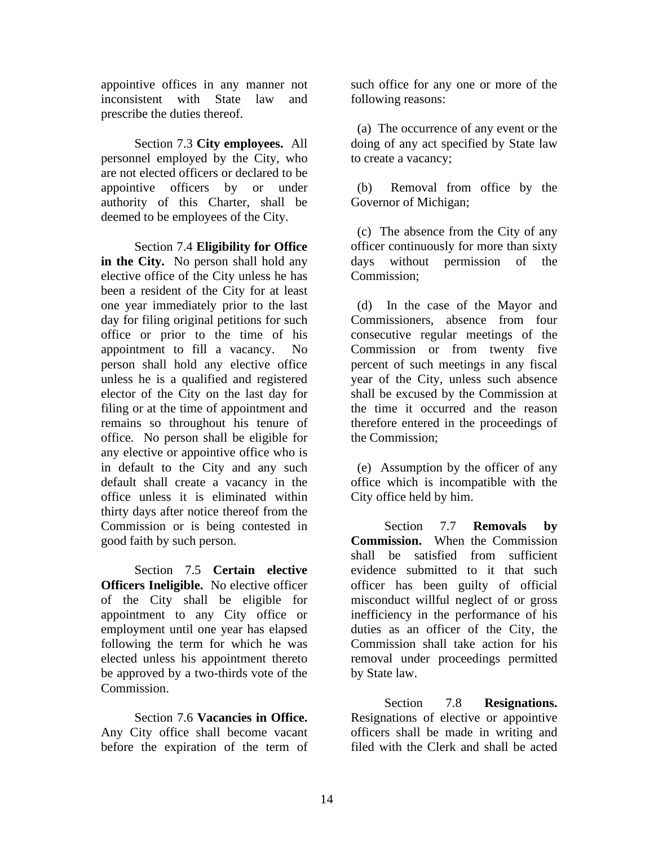appointive offices in any manner not inconsistent with State law and prescribe the duties thereof.

Section 7.3 **City employees.** All personnel employed by the City, who are not elected officers or declared to be appointive officers by or under authority of this Charter, shall be deemed to be employees of the City.

Section 7.4 **Eligibility for Office in the City.** No person shall hold any elective office of the City unless he has been a resident of the City for at least one year immediately prior to the last day for filing original petitions for such office or prior to the time of his appointment to fill a vacancy. No person shall hold any elective office unless he is a qualified and registered elector of the City on the last day for filing or at the time of appointment and remains so throughout his tenure of office. No person shall be eligible for any elective or appointive office who is in default to the City and any such default shall create a vacancy in the office unless it is eliminated within thirty days after notice thereof from the Commission or is being contested in good faith by such person.

Section 7.5 **Certain elective Officers Ineligible.** No elective officer of the City shall be eligible for appointment to any City office or employment until one year has elapsed following the term for which he was elected unless his appointment thereto be approved by a two-thirds vote of the Commission.

Section 7.6 **Vacancies in Office.** Any City office shall become vacant before the expiration of the term of such office for any one or more of the following reasons:

 (a) The occurrence of any event or the doing of any act specified by State law to create a vacancy;

 (b) Removal from office by the Governor of Michigan;

 (c) The absence from the City of any officer continuously for more than sixty days without permission of the Commission;

 (d) In the case of the Mayor and Commissioners, absence from four consecutive regular meetings of the Commission or from twenty five percent of such meetings in any fiscal year of the City, unless such absence shall be excused by the Commission at the time it occurred and the reason therefore entered in the proceedings of the Commission;

 (e) Assumption by the officer of any office which is incompatible with the City office held by him.

Section 7.7 **Removals by Commission.** When the Commission shall be satisfied from sufficient evidence submitted to it that such officer has been guilty of official misconduct willful neglect of or gross inefficiency in the performance of his duties as an officer of the City, the Commission shall take action for his removal under proceedings permitted by State law.

Section 7.8 **Resignations.** Resignations of elective or appointive officers shall be made in writing and filed with the Clerk and shall be acted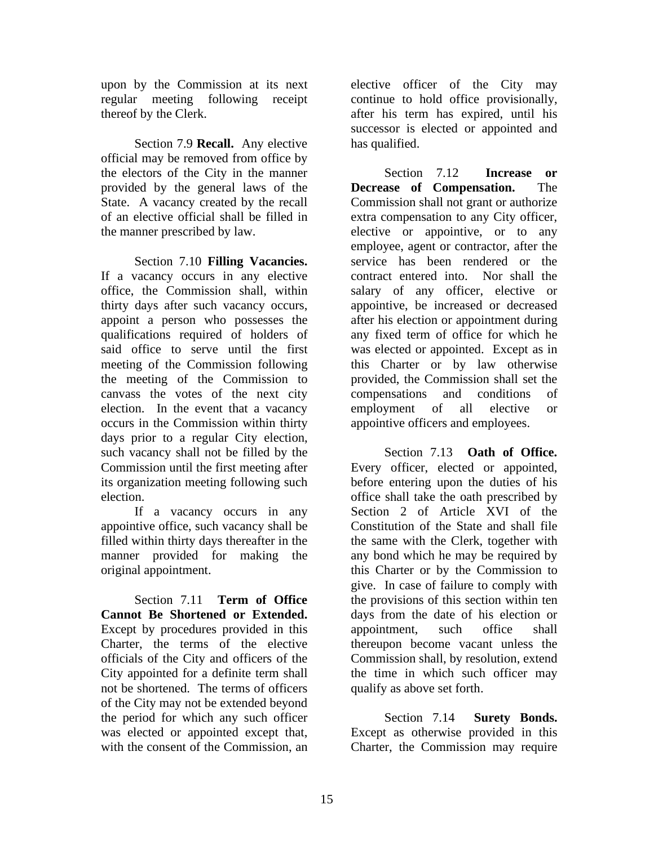upon by the Commission at its next regular meeting following receipt thereof by the Clerk.

Section 7.9 **Recall.** Any elective official may be removed from office by the electors of the City in the manner provided by the general laws of the State. A vacancy created by the recall of an elective official shall be filled in the manner prescribed by law.

Section 7.10 **Filling Vacancies.** If a vacancy occurs in any elective office, the Commission shall, within thirty days after such vacancy occurs, appoint a person who possesses the qualifications required of holders of said office to serve until the first meeting of the Commission following the meeting of the Commission to canvass the votes of the next city election. In the event that a vacancy occurs in the Commission within thirty days prior to a regular City election, such vacancy shall not be filled by the Commission until the first meeting after its organization meeting following such election.

If a vacancy occurs in any appointive office, such vacancy shall be filled within thirty days thereafter in the manner provided for making the original appointment.

Section 7.11 **Term of Office Cannot Be Shortened or Extended.** Except by procedures provided in this Charter, the terms of the elective officials of the City and officers of the City appointed for a definite term shall not be shortened. The terms of officers of the City may not be extended beyond the period for which any such officer was elected or appointed except that, with the consent of the Commission, an

elective officer of the City may continue to hold office provisionally, after his term has expired, until his successor is elected or appointed and has qualified.

Section 7.12 **Increase or Decrease of Compensation.** The Commission shall not grant or authorize extra compensation to any City officer, elective or appointive, or to any employee, agent or contractor, after the service has been rendered or the contract entered into. Nor shall the salary of any officer, elective or appointive, be increased or decreased after his election or appointment during any fixed term of office for which he was elected or appointed. Except as in this Charter or by law otherwise provided, the Commission shall set the compensations and conditions of employment of all elective or appointive officers and employees.

Section 7.13 **Oath of Office.** Every officer, elected or appointed, before entering upon the duties of his office shall take the oath prescribed by Section 2 of Article XVI of the Constitution of the State and shall file the same with the Clerk, together with any bond which he may be required by this Charter or by the Commission to give. In case of failure to comply with the provisions of this section within ten days from the date of his election or appointment, such office shall thereupon become vacant unless the Commission shall, by resolution, extend the time in which such officer may qualify as above set forth.

Section 7.14 **Surety Bonds.** Except as otherwise provided in this Charter, the Commission may require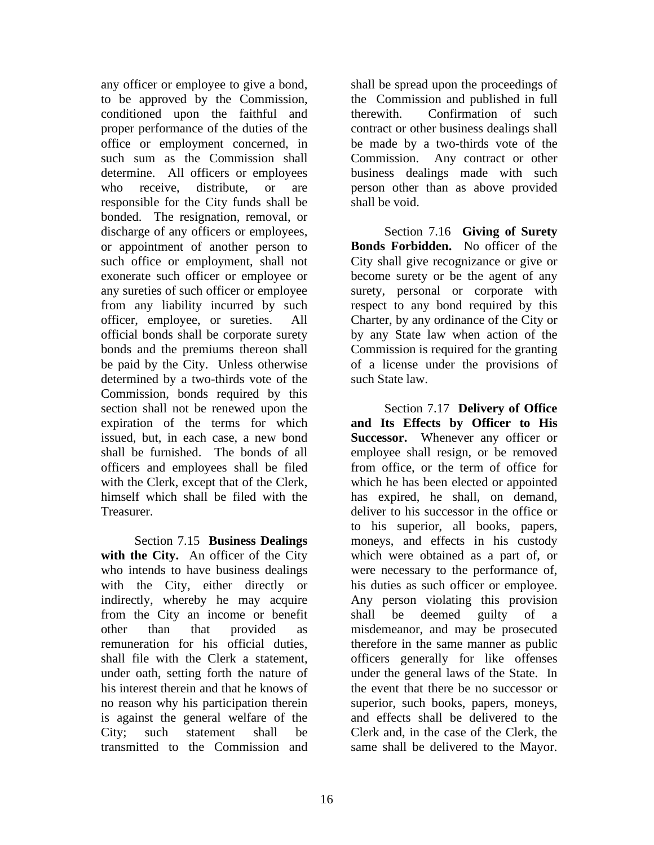any officer or employee to give a bond, to be approved by the Commission, conditioned upon the faithful and proper performance of the duties of the office or employment concerned, in such sum as the Commission shall determine. All officers or employees who receive, distribute, or are responsible for the City funds shall be bonded. The resignation, removal, or discharge of any officers or employees, or appointment of another person to such office or employment, shall not exonerate such officer or employee or any sureties of such officer or employee from any liability incurred by such officer, employee, or sureties. All official bonds shall be corporate surety bonds and the premiums thereon shall be paid by the City. Unless otherwise determined by a two-thirds vote of the Commission, bonds required by this section shall not be renewed upon the expiration of the terms for which issued, but, in each case, a new bond shall be furnished. The bonds of all officers and employees shall be filed with the Clerk, except that of the Clerk, himself which shall be filed with the Treasurer.

Section 7.15 **Business Dealings**  with the City. An officer of the City who intends to have business dealings with the City, either directly or indirectly, whereby he may acquire from the City an income or benefit other than that provided as remuneration for his official duties, shall file with the Clerk a statement, under oath, setting forth the nature of his interest therein and that he knows of no reason why his participation therein is against the general welfare of the City; such statement shall be transmitted to the Commission and

shall be spread upon the proceedings of the Commission and published in full therewith. Confirmation of such contract or other business dealings shall be made by a two-thirds vote of the Commission. Any contract or other business dealings made with such person other than as above provided shall be void.

Section 7.16 **Giving of Surety Bonds Forbidden.** No officer of the City shall give recognizance or give or become surety or be the agent of any surety, personal or corporate with respect to any bond required by this Charter, by any ordinance of the City or by any State law when action of the Commission is required for the granting of a license under the provisions of such State law.

Section 7.17 **Delivery of Office and Its Effects by Officer to His Successor.** Whenever any officer or employee shall resign, or be removed from office, or the term of office for which he has been elected or appointed has expired, he shall, on demand, deliver to his successor in the office or to his superior, all books, papers, moneys, and effects in his custody which were obtained as a part of, or were necessary to the performance of, his duties as such officer or employee. Any person violating this provision shall be deemed guilty of a misdemeanor, and may be prosecuted therefore in the same manner as public officers generally for like offenses under the general laws of the State. In the event that there be no successor or superior, such books, papers, moneys, and effects shall be delivered to the Clerk and, in the case of the Clerk, the same shall be delivered to the Mayor.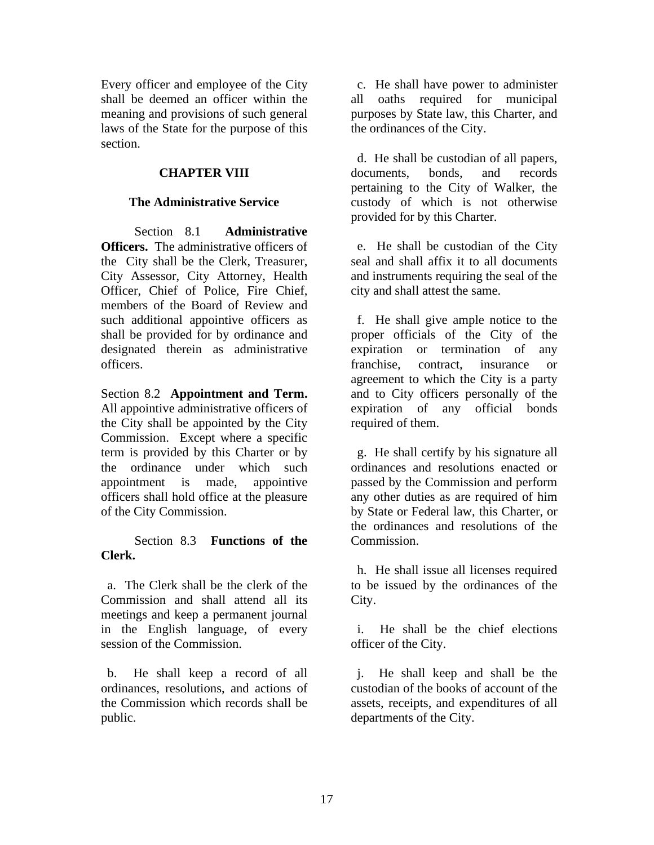Every officer and employee of the City shall be deemed an officer within the meaning and provisions of such general laws of the State for the purpose of this section.

# **CHAPTER VIII**

#### **The Administrative Service**

Section 8.1 **Administrative Officers.** The administrative officers of the City shall be the Clerk, Treasurer, City Assessor, City Attorney, Health Officer, Chief of Police, Fire Chief, members of the Board of Review and such additional appointive officers as shall be provided for by ordinance and designated therein as administrative officers.

Section 8.2 **Appointment and Term.** All appointive administrative officers of the City shall be appointed by the City Commission. Except where a specific term is provided by this Charter or by the ordinance under which such appointment is made, appointive officers shall hold office at the pleasure of the City Commission.

### Section 8.3 **Functions of the Clerk.**

 a. The Clerk shall be the clerk of the Commission and shall attend all its meetings and keep a permanent journal in the English language, of every session of the Commission.

 b. He shall keep a record of all ordinances, resolutions, and actions of the Commission which records shall be public.

 c. He shall have power to administer all oaths required for municipal purposes by State law, this Charter, and the ordinances of the City.

 d. He shall be custodian of all papers, documents, bonds, and records pertaining to the City of Walker, the custody of which is not otherwise provided for by this Charter.

 e. He shall be custodian of the City seal and shall affix it to all documents and instruments requiring the seal of the city and shall attest the same.

 f. He shall give ample notice to the proper officials of the City of the expiration or termination of any franchise, contract, insurance or agreement to which the City is a party and to City officers personally of the expiration of any official bonds required of them.

 g. He shall certify by his signature all ordinances and resolutions enacted or passed by the Commission and perform any other duties as are required of him by State or Federal law, this Charter, or the ordinances and resolutions of the Commission.

 h. He shall issue all licenses required to be issued by the ordinances of the City.

 i. He shall be the chief elections officer of the City.

 j. He shall keep and shall be the custodian of the books of account of the assets, receipts, and expenditures of all departments of the City.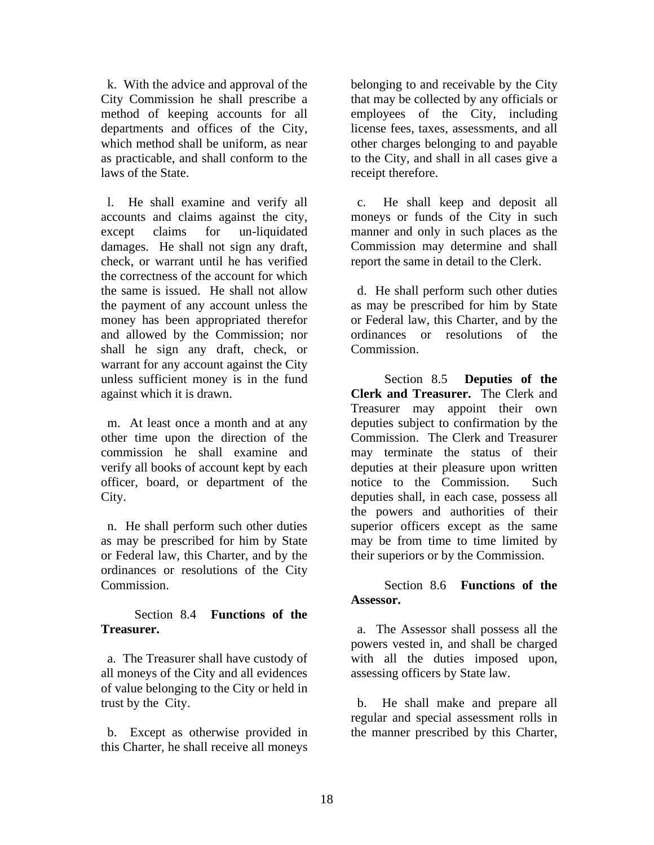k. With the advice and approval of the City Commission he shall prescribe a method of keeping accounts for all departments and offices of the City, which method shall be uniform, as near as practicable, and shall conform to the laws of the State.

 l. He shall examine and verify all accounts and claims against the city, except claims for un-liquidated damages. He shall not sign any draft, check, or warrant until he has verified the correctness of the account for which the same is issued. He shall not allow the payment of any account unless the money has been appropriated therefor and allowed by the Commission; nor shall he sign any draft, check, or warrant for any account against the City unless sufficient money is in the fund against which it is drawn.

m. At least once a month and at any other time upon the direction of the commission he shall examine and verify all books of account kept by each officer, board, or department of the City.

 n. He shall perform such other duties as may be prescribed for him by State or Federal law, this Charter, and by the ordinances or resolutions of the City Commission.

#### Section 8.4 **Functions of the Treasurer.**

 a. The Treasurer shall have custody of all moneys of the City and all evidences of value belonging to the City or held in trust by the City.

 b. Except as otherwise provided in this Charter, he shall receive all moneys

belonging to and receivable by the City that may be collected by any officials or employees of the City, including license fees, taxes, assessments, and all other charges belonging to and payable to the City, and shall in all cases give a receipt therefore.

 c. He shall keep and deposit all moneys or funds of the City in such manner and only in such places as the Commission may determine and shall report the same in detail to the Clerk.

 d. He shall perform such other duties as may be prescribed for him by State or Federal law, this Charter, and by the ordinances or resolutions of the Commission.

Section 8.5 **Deputies of the Clerk and Treasurer.** The Clerk and Treasurer may appoint their own deputies subject to confirmation by the Commission. The Clerk and Treasurer may terminate the status of their deputies at their pleasure upon written notice to the Commission. Such deputies shall, in each case, possess all the powers and authorities of their superior officers except as the same may be from time to time limited by their superiors or by the Commission.

# Section 8.6 **Functions of the Assessor.**

 a. The Assessor shall possess all the powers vested in, and shall be charged with all the duties imposed upon, assessing officers by State law.

 b. He shall make and prepare all regular and special assessment rolls in the manner prescribed by this Charter,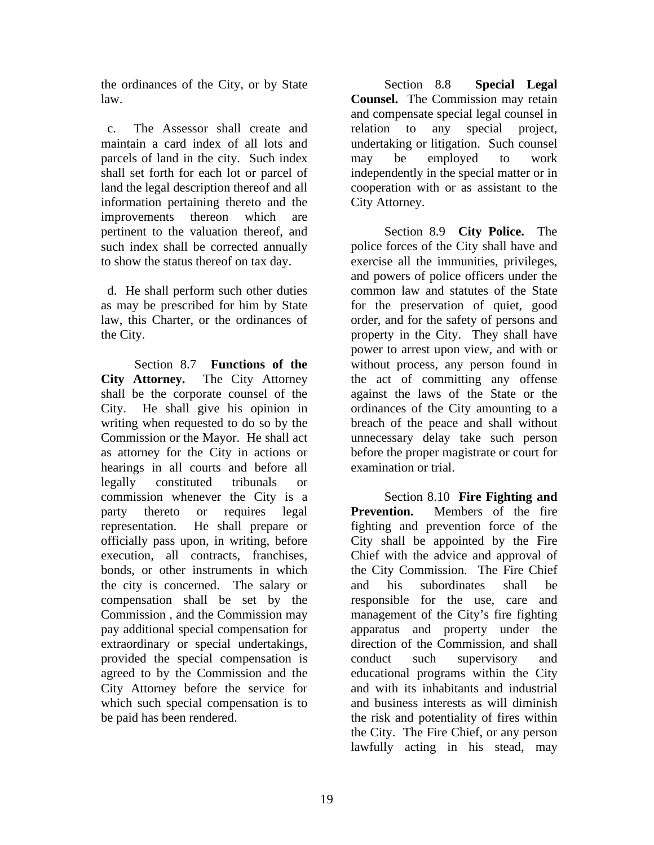the ordinances of the City, or by State law.

 c. The Assessor shall create and maintain a card index of all lots and parcels of land in the city. Such index shall set forth for each lot or parcel of land the legal description thereof and all information pertaining thereto and the improvements thereon which are pertinent to the valuation thereof, and such index shall be corrected annually to show the status thereof on tax day.

 d. He shall perform such other duties as may be prescribed for him by State law, this Charter, or the ordinances of the City.

Section 8.7 **Functions of the City Attorney.** The City Attorney shall be the corporate counsel of the City. He shall give his opinion in writing when requested to do so by the Commission or the Mayor. He shall act as attorney for the City in actions or hearings in all courts and before all legally constituted tribunals or commission whenever the City is a party thereto or requires legal representation. He shall prepare or officially pass upon, in writing, before execution, all contracts, franchises, bonds, or other instruments in which the city is concerned. The salary or compensation shall be set by the Commission , and the Commission may pay additional special compensation for extraordinary or special undertakings, provided the special compensation is agreed to by the Commission and the City Attorney before the service for which such special compensation is to be paid has been rendered.

Section 8.8 **Special Legal Counsel.** The Commission may retain and compensate special legal counsel in relation to any special project, undertaking or litigation. Such counsel may be employed to work independently in the special matter or in cooperation with or as assistant to the City Attorney.

Section 8.9 **City Police.** The police forces of the City shall have and exercise all the immunities, privileges, and powers of police officers under the common law and statutes of the State for the preservation of quiet, good order, and for the safety of persons and property in the City. They shall have power to arrest upon view, and with or without process, any person found in the act of committing any offense against the laws of the State or the ordinances of the City amounting to a breach of the peace and shall without unnecessary delay take such person before the proper magistrate or court for examination or trial.

Section 8.10 **Fire Fighting and Prevention.** Members of the fire fighting and prevention force of the City shall be appointed by the Fire Chief with the advice and approval of the City Commission. The Fire Chief and his subordinates shall be responsible for the use, care and management of the City's fire fighting apparatus and property under the direction of the Commission, and shall conduct such supervisory and educational programs within the City and with its inhabitants and industrial and business interests as will diminish the risk and potentiality of fires within the City. The Fire Chief, or any person lawfully acting in his stead, may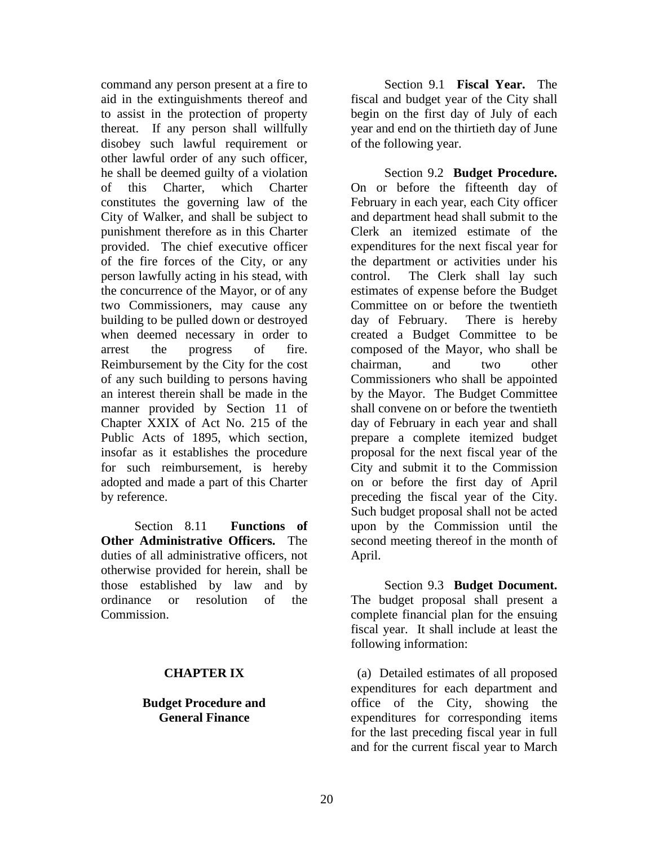command any person present at a fire to aid in the extinguishments thereof and to assist in the protection of property thereat. If any person shall willfully disobey such lawful requirement or other lawful order of any such officer, he shall be deemed guilty of a violation of this Charter, which Charter constitutes the governing law of the City of Walker, and shall be subject to punishment therefore as in this Charter provided. The chief executive officer of the fire forces of the City, or any person lawfully acting in his stead, with the concurrence of the Mayor, or of any two Commissioners, may cause any building to be pulled down or destroyed when deemed necessary in order to arrest the progress of fire. Reimbursement by the City for the cost of any such building to persons having an interest therein shall be made in the manner provided by Section 11 of Chapter XXIX of Act No. 215 of the Public Acts of 1895, which section, insofar as it establishes the procedure for such reimbursement, is hereby adopted and made a part of this Charter by reference.

Section 8.11 **Functions of Other Administrative Officers.** The duties of all administrative officers, not otherwise provided for herein, shall be those established by law and by ordinance or resolution of the Commission.

#### **CHAPTER IX**

#### **Budget Procedure and General Finance**

Section 9.1 **Fiscal Year.** The fiscal and budget year of the City shall begin on the first day of July of each year and end on the thirtieth day of June of the following year.

Section 9.2 **Budget Procedure.** On or before the fifteenth day of February in each year, each City officer and department head shall submit to the Clerk an itemized estimate of the expenditures for the next fiscal year for the department or activities under his control. The Clerk shall lay such estimates of expense before the Budget Committee on or before the twentieth day of February. There is hereby created a Budget Committee to be composed of the Mayor, who shall be chairman, and two other Commissioners who shall be appointed by the Mayor. The Budget Committee shall convene on or before the twentieth day of February in each year and shall prepare a complete itemized budget proposal for the next fiscal year of the City and submit it to the Commission on or before the first day of April preceding the fiscal year of the City. Such budget proposal shall not be acted upon by the Commission until the second meeting thereof in the month of April.

Section 9.3 **Budget Document.** The budget proposal shall present a complete financial plan for the ensuing fiscal year. It shall include at least the following information:

 (a) Detailed estimates of all proposed expenditures for each department and office of the City, showing the expenditures for corresponding items for the last preceding fiscal year in full and for the current fiscal year to March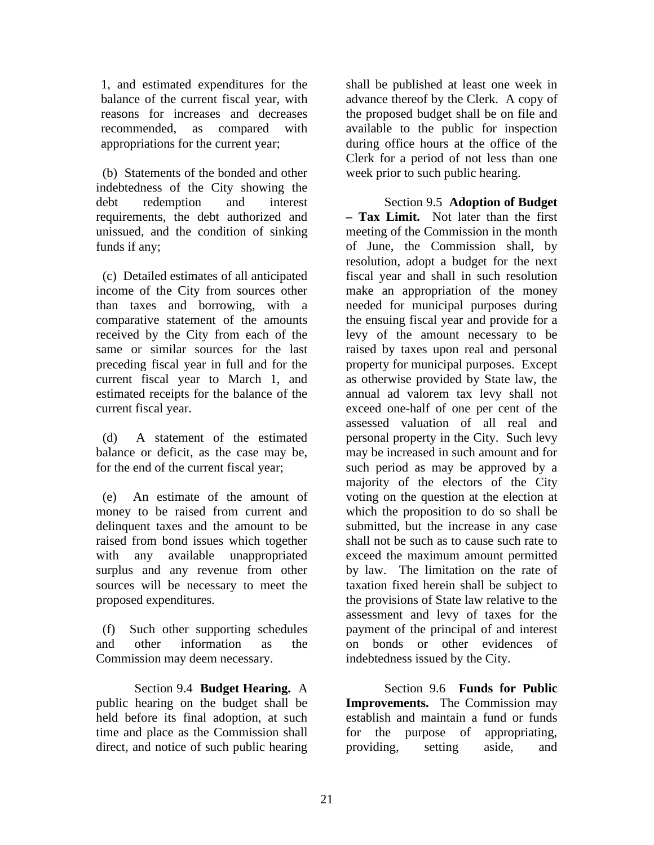1, and estimated expenditures for the balance of the current fiscal year, with reasons for increases and decreases recommended, as compared with appropriations for the current year;

 (b) Statements of the bonded and other indebtedness of the City showing the debt redemption and interest requirements, the debt authorized and unissued, and the condition of sinking funds if any;

 (c) Detailed estimates of all anticipated income of the City from sources other than taxes and borrowing, with a comparative statement of the amounts received by the City from each of the same or similar sources for the last preceding fiscal year in full and for the current fiscal year to March 1, and estimated receipts for the balance of the current fiscal year.

 (d) A statement of the estimated balance or deficit, as the case may be, for the end of the current fiscal year;

 (e) An estimate of the amount of money to be raised from current and delinquent taxes and the amount to be raised from bond issues which together with any available unappropriated surplus and any revenue from other sources will be necessary to meet the proposed expenditures.

 (f) Such other supporting schedules and other information as the Commission may deem necessary.

Section 9.4 **Budget Hearing.** A public hearing on the budget shall be held before its final adoption, at such time and place as the Commission shall direct, and notice of such public hearing

shall be published at least one week in advance thereof by the Clerk. A copy of the proposed budget shall be on file and available to the public for inspection during office hours at the office of the Clerk for a period of not less than one week prior to such public hearing.

Section 9.5 **Adoption of Budget – Tax Limit.** Not later than the first meeting of the Commission in the month of June, the Commission shall, by resolution, adopt a budget for the next fiscal year and shall in such resolution make an appropriation of the money needed for municipal purposes during the ensuing fiscal year and provide for a levy of the amount necessary to be raised by taxes upon real and personal property for municipal purposes. Except as otherwise provided by State law, the annual ad valorem tax levy shall not exceed one-half of one per cent of the assessed valuation of all real and personal property in the City. Such levy may be increased in such amount and for such period as may be approved by a majority of the electors of the City voting on the question at the election at which the proposition to do so shall be submitted, but the increase in any case shall not be such as to cause such rate to exceed the maximum amount permitted by law. The limitation on the rate of taxation fixed herein shall be subject to the provisions of State law relative to the assessment and levy of taxes for the payment of the principal of and interest on bonds or other evidences of indebtedness issued by the City.

Section 9.6 **Funds for Public Improvements.** The Commission may establish and maintain a fund or funds for the purpose of appropriating, providing, setting aside, and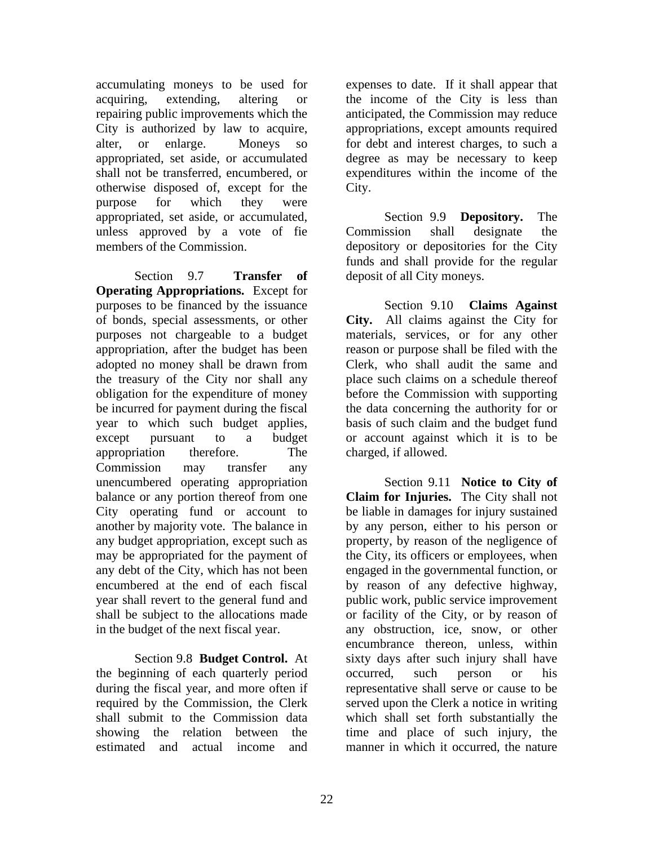accumulating moneys to be used for acquiring, extending, altering or repairing public improvements which the City is authorized by law to acquire, alter, or enlarge. Moneys so appropriated, set aside, or accumulated shall not be transferred, encumbered, or otherwise disposed of, except for the purpose for which they were appropriated, set aside, or accumulated, unless approved by a vote of fie members of the Commission.

Section 9.7 **Transfer of Operating Appropriations.** Except for purposes to be financed by the issuance of bonds, special assessments, or other purposes not chargeable to a budget appropriation, after the budget has been adopted no money shall be drawn from the treasury of the City nor shall any obligation for the expenditure of money be incurred for payment during the fiscal year to which such budget applies, except pursuant to a budget appropriation therefore. The Commission may transfer any unencumbered operating appropriation balance or any portion thereof from one City operating fund or account to another by majority vote. The balance in any budget appropriation, except such as may be appropriated for the payment of any debt of the City, which has not been encumbered at the end of each fiscal year shall revert to the general fund and shall be subject to the allocations made in the budget of the next fiscal year.

Section 9.8 **Budget Control.** At the beginning of each quarterly period during the fiscal year, and more often if required by the Commission, the Clerk shall submit to the Commission data showing the relation between the estimated and actual income and

expenses to date. If it shall appear that the income of the City is less than anticipated, the Commission may reduce appropriations, except amounts required for debt and interest charges, to such a degree as may be necessary to keep expenditures within the income of the City.

Section 9.9 **Depository.** The Commission shall designate the depository or depositories for the City funds and shall provide for the regular deposit of all City moneys.

Section 9.10 **Claims Against City.** All claims against the City for materials, services, or for any other reason or purpose shall be filed with the Clerk, who shall audit the same and place such claims on a schedule thereof before the Commission with supporting the data concerning the authority for or basis of such claim and the budget fund or account against which it is to be charged, if allowed.

Section 9.11 **Notice to City of Claim for Injuries.** The City shall not be liable in damages for injury sustained by any person, either to his person or property, by reason of the negligence of the City, its officers or employees, when engaged in the governmental function, or by reason of any defective highway, public work, public service improvement or facility of the City, or by reason of any obstruction, ice, snow, or other encumbrance thereon, unless, within sixty days after such injury shall have occurred, such person or his representative shall serve or cause to be served upon the Clerk a notice in writing which shall set forth substantially the time and place of such injury, the manner in which it occurred, the nature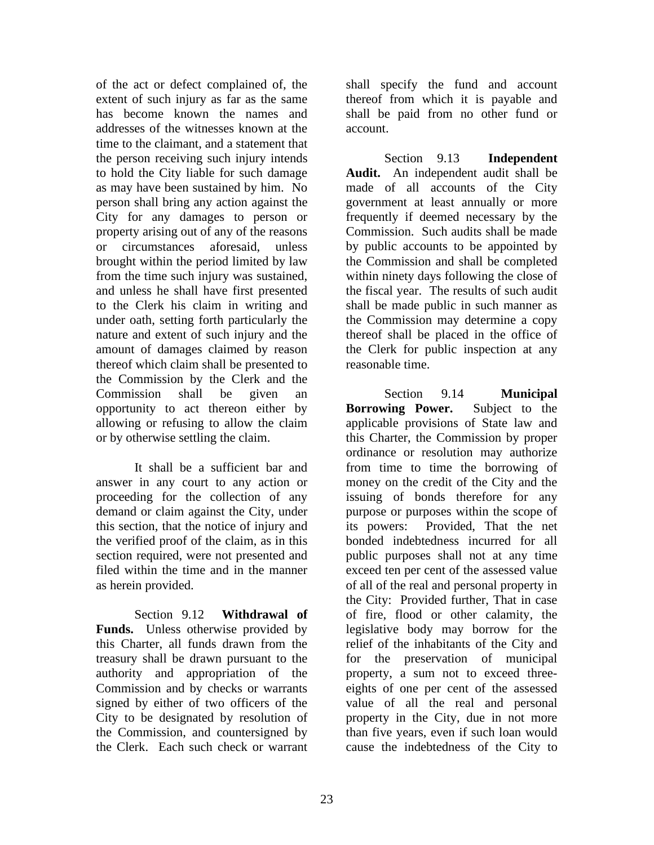of the act or defect complained of, the extent of such injury as far as the same has become known the names and addresses of the witnesses known at the time to the claimant, and a statement that the person receiving such injury intends to hold the City liable for such damage as may have been sustained by him. No person shall bring any action against the City for any damages to person or property arising out of any of the reasons or circumstances aforesaid, unless brought within the period limited by law from the time such injury was sustained, and unless he shall have first presented to the Clerk his claim in writing and under oath, setting forth particularly the nature and extent of such injury and the amount of damages claimed by reason thereof which claim shall be presented to the Commission by the Clerk and the Commission shall be given an opportunity to act thereon either by allowing or refusing to allow the claim or by otherwise settling the claim.

It shall be a sufficient bar and answer in any court to any action or proceeding for the collection of any demand or claim against the City, under this section, that the notice of injury and the verified proof of the claim, as in this section required, were not presented and filed within the time and in the manner as herein provided.

Section 9.12 **Withdrawal of Funds.** Unless otherwise provided by this Charter, all funds drawn from the treasury shall be drawn pursuant to the authority and appropriation of the Commission and by checks or warrants signed by either of two officers of the City to be designated by resolution of the Commission, and countersigned by the Clerk. Each such check or warrant

shall specify the fund and account thereof from which it is payable and shall be paid from no other fund or account.

Section 9.13 **Independent Audit.** An independent audit shall be made of all accounts of the City government at least annually or more frequently if deemed necessary by the Commission. Such audits shall be made by public accounts to be appointed by the Commission and shall be completed within ninety days following the close of the fiscal year. The results of such audit shall be made public in such manner as the Commission may determine a copy thereof shall be placed in the office of the Clerk for public inspection at any reasonable time.

Section 9.14 **Municipal Borrowing Power.** Subject to the applicable provisions of State law and this Charter, the Commission by proper ordinance or resolution may authorize from time to time the borrowing of money on the credit of the City and the issuing of bonds therefore for any purpose or purposes within the scope of its powers: Provided, That the net bonded indebtedness incurred for all public purposes shall not at any time exceed ten per cent of the assessed value of all of the real and personal property in the City: Provided further, That in case of fire, flood or other calamity, the legislative body may borrow for the relief of the inhabitants of the City and for the preservation of municipal property, a sum not to exceed threeeights of one per cent of the assessed value of all the real and personal property in the City, due in not more than five years, even if such loan would cause the indebtedness of the City to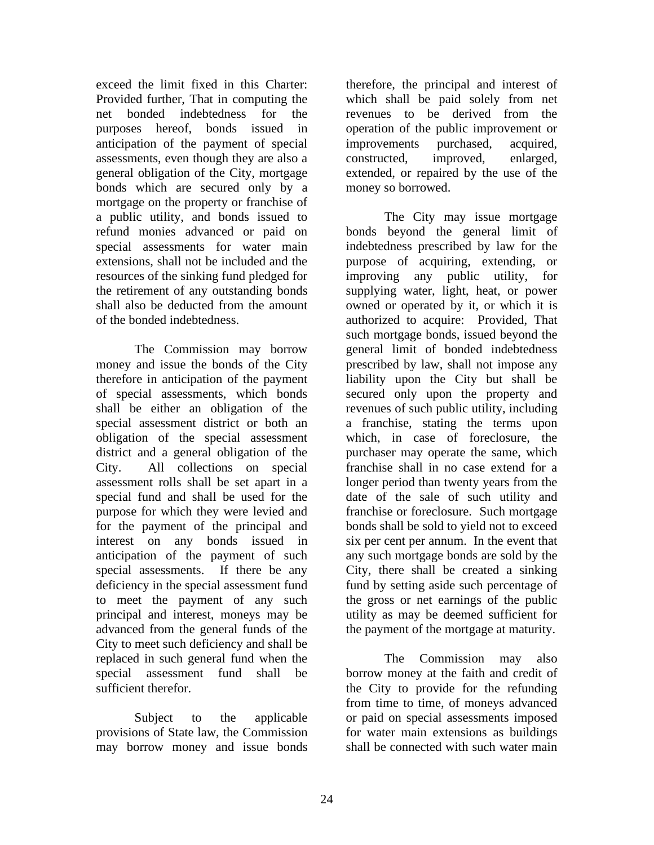exceed the limit fixed in this Charter: Provided further, That in computing the net bonded indebtedness for the purposes hereof, bonds issued in anticipation of the payment of special assessments, even though they are also a general obligation of the City, mortgage bonds which are secured only by a mortgage on the property or franchise of a public utility, and bonds issued to refund monies advanced or paid on special assessments for water main extensions, shall not be included and the resources of the sinking fund pledged for the retirement of any outstanding bonds shall also be deducted from the amount of the bonded indebtedness.

The Commission may borrow money and issue the bonds of the City therefore in anticipation of the payment of special assessments, which bonds shall be either an obligation of the special assessment district or both an obligation of the special assessment district and a general obligation of the City. All collections on special assessment rolls shall be set apart in a special fund and shall be used for the purpose for which they were levied and for the payment of the principal and interest on any bonds issued in anticipation of the payment of such special assessments. If there be any deficiency in the special assessment fund to meet the payment of any such principal and interest, moneys may be advanced from the general funds of the City to meet such deficiency and shall be replaced in such general fund when the special assessment fund shall be sufficient therefor.

Subject to the applicable provisions of State law, the Commission may borrow money and issue bonds

therefore, the principal and interest of which shall be paid solely from net revenues to be derived from the operation of the public improvement or improvements purchased, acquired, constructed, improved, enlarged, extended, or repaired by the use of the money so borrowed.

The City may issue mortgage bonds beyond the general limit of indebtedness prescribed by law for the purpose of acquiring, extending, or improving any public utility, for supplying water, light, heat, or power owned or operated by it, or which it is authorized to acquire: Provided, That such mortgage bonds, issued beyond the general limit of bonded indebtedness prescribed by law, shall not impose any liability upon the City but shall be secured only upon the property and revenues of such public utility, including a franchise, stating the terms upon which, in case of foreclosure, the purchaser may operate the same, which franchise shall in no case extend for a longer period than twenty years from the date of the sale of such utility and franchise or foreclosure. Such mortgage bonds shall be sold to yield not to exceed six per cent per annum. In the event that any such mortgage bonds are sold by the City, there shall be created a sinking fund by setting aside such percentage of the gross or net earnings of the public utility as may be deemed sufficient for the payment of the mortgage at maturity.

The Commission may also borrow money at the faith and credit of the City to provide for the refunding from time to time, of moneys advanced or paid on special assessments imposed for water main extensions as buildings shall be connected with such water main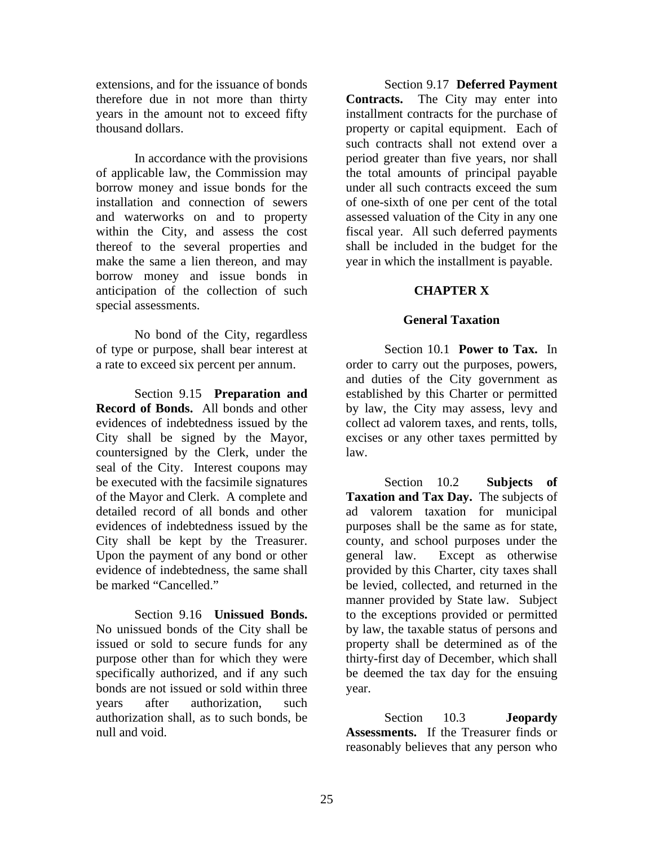extensions, and for the issuance of bonds therefore due in not more than thirty years in the amount not to exceed fifty thousand dollars.

In accordance with the provisions of applicable law, the Commission may borrow money and issue bonds for the installation and connection of sewers and waterworks on and to property within the City, and assess the cost thereof to the several properties and make the same a lien thereon, and may borrow money and issue bonds in anticipation of the collection of such special assessments.

No bond of the City, regardless of type or purpose, shall bear interest at a rate to exceed six percent per annum.

Section 9.15 **Preparation and Record of Bonds.** All bonds and other evidences of indebtedness issued by the City shall be signed by the Mayor, countersigned by the Clerk, under the seal of the City. Interest coupons may be executed with the facsimile signatures of the Mayor and Clerk. A complete and detailed record of all bonds and other evidences of indebtedness issued by the City shall be kept by the Treasurer. Upon the payment of any bond or other evidence of indebtedness, the same shall be marked "Cancelled."

Section 9.16 **Unissued Bonds.** No unissued bonds of the City shall be issued or sold to secure funds for any purpose other than for which they were specifically authorized, and if any such bonds are not issued or sold within three years after authorization, such authorization shall, as to such bonds, be null and void.

Section 9.17 **Deferred Payment Contracts.** The City may enter into installment contracts for the purchase of property or capital equipment. Each of such contracts shall not extend over a period greater than five years, nor shall the total amounts of principal payable under all such contracts exceed the sum of one-sixth of one per cent of the total assessed valuation of the City in any one fiscal year. All such deferred payments shall be included in the budget for the year in which the installment is payable.

# **CHAPTER X**

### **General Taxation**

Section 10.1 **Power to Tax.** In order to carry out the purposes, powers, and duties of the City government as established by this Charter or permitted by law, the City may assess, levy and collect ad valorem taxes, and rents, tolls, excises or any other taxes permitted by law.

Section 10.2 **Subjects of Taxation and Tax Day.** The subjects of ad valorem taxation for municipal purposes shall be the same as for state, county, and school purposes under the general law. Except as otherwise provided by this Charter, city taxes shall be levied, collected, and returned in the manner provided by State law. Subject to the exceptions provided or permitted by law, the taxable status of persons and property shall be determined as of the thirty-first day of December, which shall be deemed the tax day for the ensuing year.

Section 10.3 **Jeopardy Assessments.** If the Treasurer finds or reasonably believes that any person who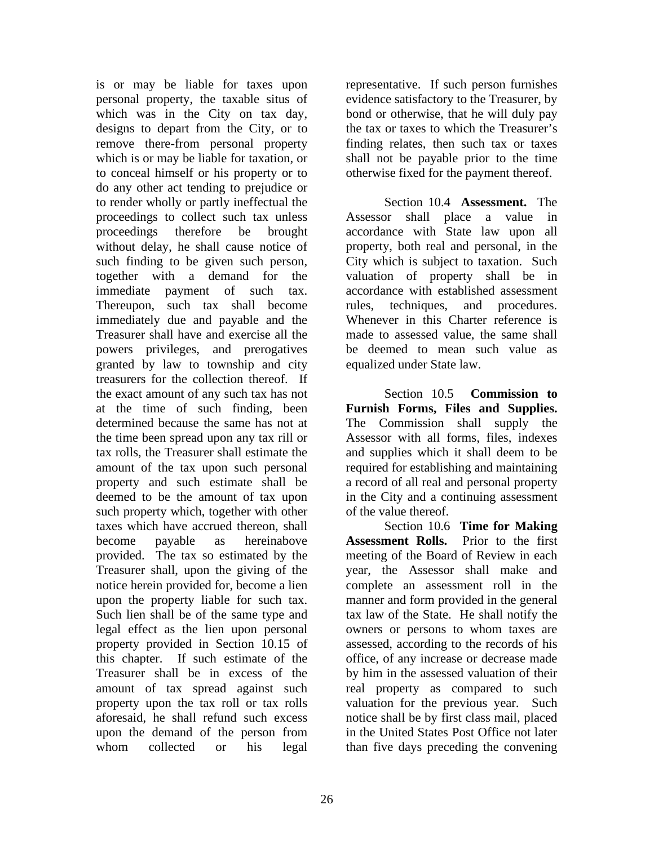is or may be liable for taxes upon personal property, the taxable situs of which was in the City on tax day, designs to depart from the City, or to remove there-from personal property which is or may be liable for taxation, or to conceal himself or his property or to do any other act tending to prejudice or to render wholly or partly ineffectual the proceedings to collect such tax unless proceedings therefore be brought without delay, he shall cause notice of such finding to be given such person, together with a demand for the immediate payment of such tax. Thereupon, such tax shall become immediately due and payable and the Treasurer shall have and exercise all the powers privileges, and prerogatives granted by law to township and city treasurers for the collection thereof. If the exact amount of any such tax has not at the time of such finding, been determined because the same has not at the time been spread upon any tax rill or tax rolls, the Treasurer shall estimate the amount of the tax upon such personal property and such estimate shall be deemed to be the amount of tax upon such property which, together with other taxes which have accrued thereon, shall become payable as hereinabove provided. The tax so estimated by the Treasurer shall, upon the giving of the notice herein provided for, become a lien upon the property liable for such tax. Such lien shall be of the same type and legal effect as the lien upon personal property provided in Section 10.15 of this chapter. If such estimate of the Treasurer shall be in excess of the amount of tax spread against such property upon the tax roll or tax rolls aforesaid, he shall refund such excess upon the demand of the person from whom collected or his legal

representative. If such person furnishes evidence satisfactory to the Treasurer, by bond or otherwise, that he will duly pay the tax or taxes to which the Treasurer's finding relates, then such tax or taxes shall not be payable prior to the time otherwise fixed for the payment thereof.

Section 10.4 **Assessment.** The Assessor shall place a value in accordance with State law upon all property, both real and personal, in the City which is subject to taxation. Such valuation of property shall be in accordance with established assessment rules, techniques, and procedures. Whenever in this Charter reference is made to assessed value, the same shall be deemed to mean such value as equalized under State law.

Section 10.5 **Commission to Furnish Forms, Files and Supplies.** The Commission shall supply the Assessor with all forms, files, indexes and supplies which it shall deem to be required for establishing and maintaining a record of all real and personal property in the City and a continuing assessment of the value thereof.

Section 10.6 **Time for Making Assessment Rolls.** Prior to the first meeting of the Board of Review in each year, the Assessor shall make and complete an assessment roll in the manner and form provided in the general tax law of the State. He shall notify the owners or persons to whom taxes are assessed, according to the records of his office, of any increase or decrease made by him in the assessed valuation of their real property as compared to such valuation for the previous year. Such notice shall be by first class mail, placed in the United States Post Office not later than five days preceding the convening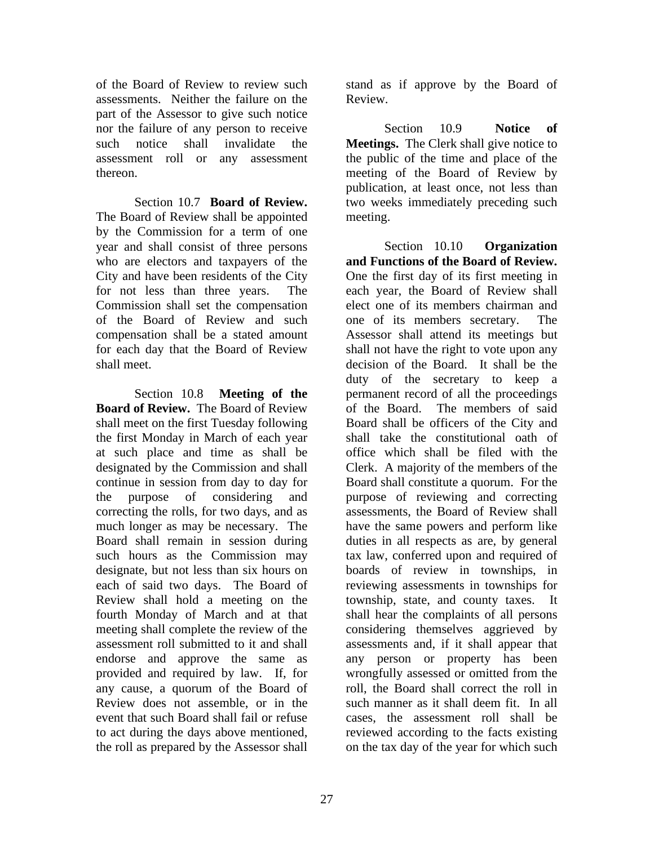of the Board of Review to review such assessments. Neither the failure on the part of the Assessor to give such notice nor the failure of any person to receive such notice shall invalidate the assessment roll or any assessment thereon.

Section 10.7 **Board of Review.** The Board of Review shall be appointed by the Commission for a term of one year and shall consist of three persons who are electors and taxpayers of the City and have been residents of the City for not less than three years. The Commission shall set the compensation of the Board of Review and such compensation shall be a stated amount for each day that the Board of Review shall meet.

Section 10.8 **Meeting of the Board of Review.** The Board of Review shall meet on the first Tuesday following the first Monday in March of each year at such place and time as shall be designated by the Commission and shall continue in session from day to day for the purpose of considering and correcting the rolls, for two days, and as much longer as may be necessary. The Board shall remain in session during such hours as the Commission may designate, but not less than six hours on each of said two days. The Board of Review shall hold a meeting on the fourth Monday of March and at that meeting shall complete the review of the assessment roll submitted to it and shall endorse and approve the same as provided and required by law. If, for any cause, a quorum of the Board of Review does not assemble, or in the event that such Board shall fail or refuse to act during the days above mentioned, the roll as prepared by the Assessor shall

stand as if approve by the Board of Review.

Section 10.9 **Notice of Meetings.** The Clerk shall give notice to the public of the time and place of the meeting of the Board of Review by publication, at least once, not less than two weeks immediately preceding such meeting.

Section 10.10 **Organization and Functions of the Board of Review.** One the first day of its first meeting in each year, the Board of Review shall elect one of its members chairman and one of its members secretary. The Assessor shall attend its meetings but shall not have the right to vote upon any decision of the Board. It shall be the duty of the secretary to keep a permanent record of all the proceedings of the Board. The members of said Board shall be officers of the City and shall take the constitutional oath of office which shall be filed with the Clerk. A majority of the members of the Board shall constitute a quorum. For the purpose of reviewing and correcting assessments, the Board of Review shall have the same powers and perform like duties in all respects as are, by general tax law, conferred upon and required of boards of review in townships, in reviewing assessments in townships for township, state, and county taxes. It shall hear the complaints of all persons considering themselves aggrieved by assessments and, if it shall appear that any person or property has been wrongfully assessed or omitted from the roll, the Board shall correct the roll in such manner as it shall deem fit. In all cases, the assessment roll shall be reviewed according to the facts existing on the tax day of the year for which such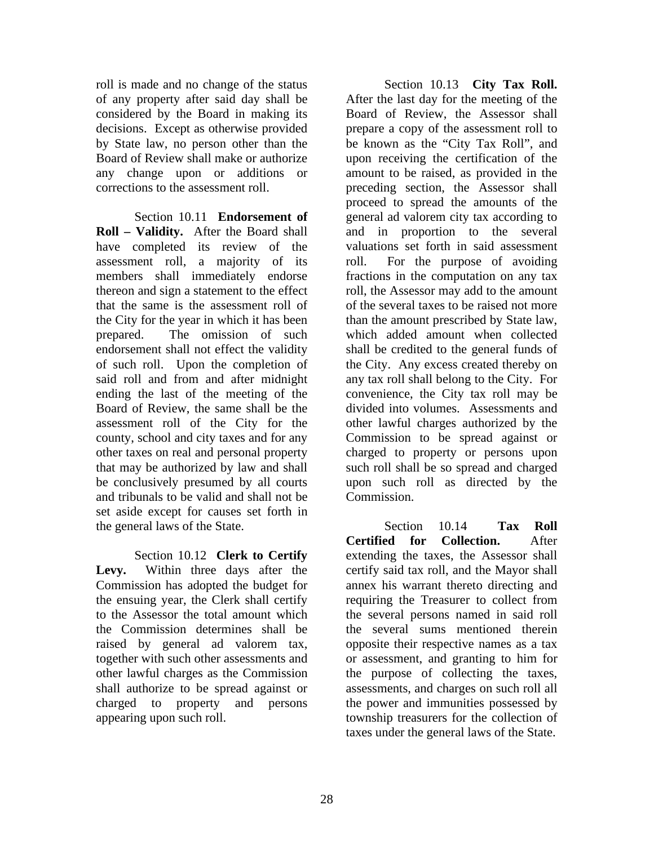roll is made and no change of the status of any property after said day shall be considered by the Board in making its decisions. Except as otherwise provided by State law, no person other than the Board of Review shall make or authorize any change upon or additions or corrections to the assessment roll.

Section 10.11 **Endorsement of Roll – Validity.** After the Board shall have completed its review of the assessment roll, a majority of its members shall immediately endorse thereon and sign a statement to the effect that the same is the assessment roll of the City for the year in which it has been prepared. The omission of such endorsement shall not effect the validity of such roll. Upon the completion of said roll and from and after midnight ending the last of the meeting of the Board of Review, the same shall be the assessment roll of the City for the county, school and city taxes and for any other taxes on real and personal property that may be authorized by law and shall be conclusively presumed by all courts and tribunals to be valid and shall not be set aside except for causes set forth in the general laws of the State.

Section 10.12 **Clerk to Certify Levy.** Within three days after the Commission has adopted the budget for the ensuing year, the Clerk shall certify to the Assessor the total amount which the Commission determines shall be raised by general ad valorem tax, together with such other assessments and other lawful charges as the Commission shall authorize to be spread against or charged to property and persons appearing upon such roll.

Section 10.13 **City Tax Roll.** After the last day for the meeting of the Board of Review, the Assessor shall prepare a copy of the assessment roll to be known as the "City Tax Roll", and upon receiving the certification of the amount to be raised, as provided in the preceding section, the Assessor shall proceed to spread the amounts of the general ad valorem city tax according to and in proportion to the several valuations set forth in said assessment roll. For the purpose of avoiding fractions in the computation on any tax roll, the Assessor may add to the amount of the several taxes to be raised not more than the amount prescribed by State law, which added amount when collected shall be credited to the general funds of the City. Any excess created thereby on any tax roll shall belong to the City. For convenience, the City tax roll may be divided into volumes. Assessments and other lawful charges authorized by the Commission to be spread against or charged to property or persons upon such roll shall be so spread and charged upon such roll as directed by the Commission.

Section 10.14 **Tax Roll Certified for Collection.** After extending the taxes, the Assessor shall certify said tax roll, and the Mayor shall annex his warrant thereto directing and requiring the Treasurer to collect from the several persons named in said roll the several sums mentioned therein opposite their respective names as a tax or assessment, and granting to him for the purpose of collecting the taxes, assessments, and charges on such roll all the power and immunities possessed by township treasurers for the collection of taxes under the general laws of the State.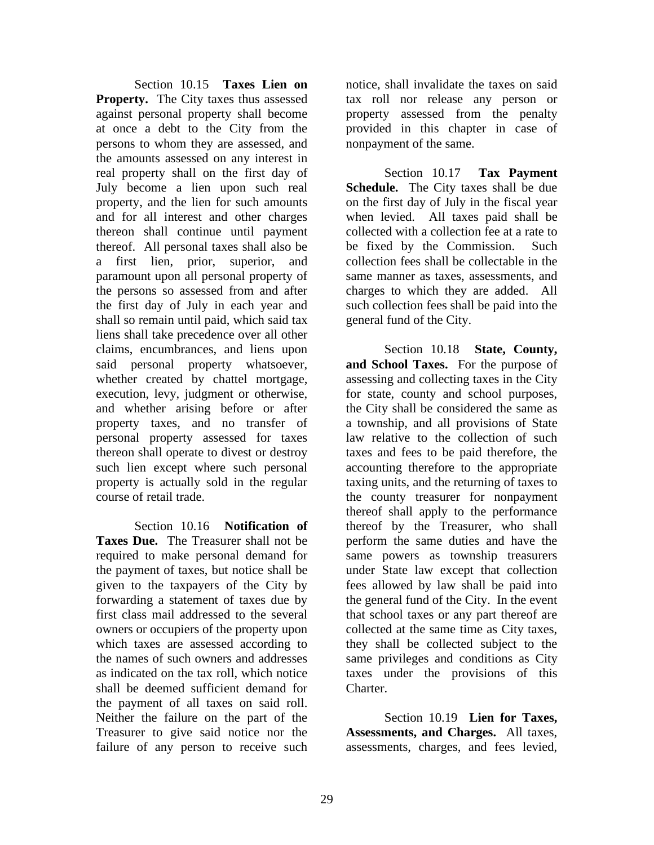Section 10.15 **Taxes Lien on Property.** The City taxes thus assessed against personal property shall become at once a debt to the City from the persons to whom they are assessed, and the amounts assessed on any interest in real property shall on the first day of July become a lien upon such real property, and the lien for such amounts and for all interest and other charges thereon shall continue until payment thereof. All personal taxes shall also be a first lien, prior, superior, and paramount upon all personal property of the persons so assessed from and after the first day of July in each year and shall so remain until paid, which said tax liens shall take precedence over all other claims, encumbrances, and liens upon said personal property whatsoever, whether created by chattel mortgage, execution, levy, judgment or otherwise, and whether arising before or after property taxes, and no transfer of personal property assessed for taxes thereon shall operate to divest or destroy such lien except where such personal property is actually sold in the regular course of retail trade.

Section 10.16 **Notification of Taxes Due.** The Treasurer shall not be required to make personal demand for the payment of taxes, but notice shall be given to the taxpayers of the City by forwarding a statement of taxes due by first class mail addressed to the several owners or occupiers of the property upon which taxes are assessed according to the names of such owners and addresses as indicated on the tax roll, which notice shall be deemed sufficient demand for the payment of all taxes on said roll. Neither the failure on the part of the Treasurer to give said notice nor the failure of any person to receive such

notice, shall invalidate the taxes on said tax roll nor release any person or property assessed from the penalty provided in this chapter in case of nonpayment of the same.

Section 10.17 **Tax Payment Schedule.** The City taxes shall be due on the first day of July in the fiscal year when levied. All taxes paid shall be collected with a collection fee at a rate to be fixed by the Commission. Such collection fees shall be collectable in the same manner as taxes, assessments, and charges to which they are added. All such collection fees shall be paid into the general fund of the City.

Section 10.18 **State, County, and School Taxes.** For the purpose of assessing and collecting taxes in the City for state, county and school purposes, the City shall be considered the same as a township, and all provisions of State law relative to the collection of such taxes and fees to be paid therefore, the accounting therefore to the appropriate taxing units, and the returning of taxes to the county treasurer for nonpayment thereof shall apply to the performance thereof by the Treasurer, who shall perform the same duties and have the same powers as township treasurers under State law except that collection fees allowed by law shall be paid into the general fund of the City. In the event that school taxes or any part thereof are collected at the same time as City taxes, they shall be collected subject to the same privileges and conditions as City taxes under the provisions of this Charter.

Section 10.19 **Lien for Taxes, Assessments, and Charges.** All taxes, assessments, charges, and fees levied,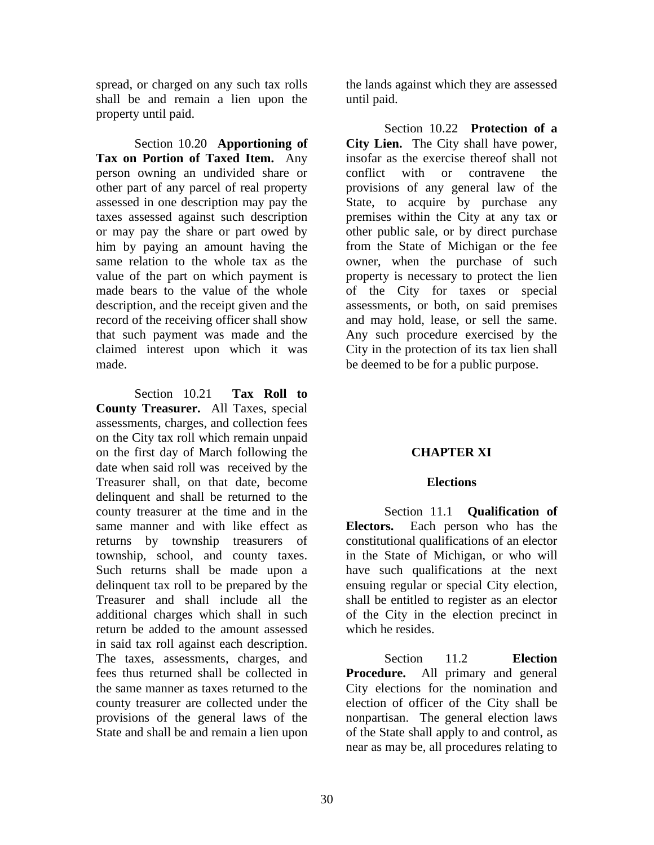spread, or charged on any such tax rolls shall be and remain a lien upon the property until paid.

Section 10.20 **Apportioning of Tax on Portion of Taxed Item.** Any person owning an undivided share or other part of any parcel of real property assessed in one description may pay the taxes assessed against such description or may pay the share or part owed by him by paying an amount having the same relation to the whole tax as the value of the part on which payment is made bears to the value of the whole description, and the receipt given and the record of the receiving officer shall show that such payment was made and the claimed interest upon which it was made.

Section 10.21 **Tax Roll to County Treasurer.** All Taxes, special assessments, charges, and collection fees on the City tax roll which remain unpaid on the first day of March following the date when said roll was received by the Treasurer shall, on that date, become delinquent and shall be returned to the county treasurer at the time and in the same manner and with like effect as returns by township treasurers of township, school, and county taxes. Such returns shall be made upon a delinquent tax roll to be prepared by the Treasurer and shall include all the additional charges which shall in such return be added to the amount assessed in said tax roll against each description. The taxes, assessments, charges, and fees thus returned shall be collected in the same manner as taxes returned to the county treasurer are collected under the provisions of the general laws of the State and shall be and remain a lien upon the lands against which they are assessed until paid.

Section 10.22 **Protection of a City Lien.** The City shall have power, insofar as the exercise thereof shall not conflict with or contravene the provisions of any general law of the State, to acquire by purchase any premises within the City at any tax or other public sale, or by direct purchase from the State of Michigan or the fee owner, when the purchase of such property is necessary to protect the lien of the City for taxes or special assessments, or both, on said premises and may hold, lease, or sell the same. Any such procedure exercised by the City in the protection of its tax lien shall be deemed to be for a public purpose.

# **CHAPTER XI**

# **Elections**

Section 11.1 **Qualification of Electors.** Each person who has the constitutional qualifications of an elector in the State of Michigan, or who will have such qualifications at the next ensuing regular or special City election, shall be entitled to register as an elector of the City in the election precinct in which he resides.

Section 11.2 **Election Procedure.** All primary and general City elections for the nomination and election of officer of the City shall be nonpartisan. The general election laws of the State shall apply to and control, as near as may be, all procedures relating to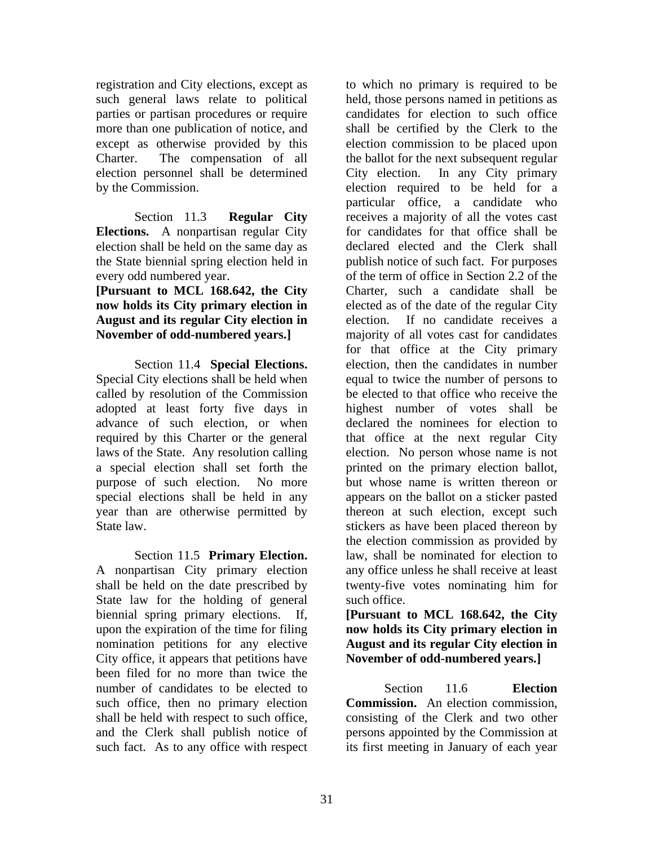registration and City elections, except as such general laws relate to political parties or partisan procedures or require more than one publication of notice, and except as otherwise provided by this Charter. The compensation of all election personnel shall be determined by the Commission.

Section 11.3 **Regular City Elections.** A nonpartisan regular City election shall be held on the same day as the State biennial spring election held in every odd numbered year.

# **[Pursuant to MCL 168.642, the City now holds its City primary election in August and its regular City election in November of odd-numbered years.]**

Section 11.4 **Special Elections.** Special City elections shall be held when called by resolution of the Commission adopted at least forty five days in advance of such election, or when required by this Charter or the general laws of the State. Any resolution calling a special election shall set forth the purpose of such election. No more special elections shall be held in any year than are otherwise permitted by State law.

Section 11.5 **Primary Election.** A nonpartisan City primary election shall be held on the date prescribed by State law for the holding of general biennial spring primary elections. If, upon the expiration of the time for filing nomination petitions for any elective City office, it appears that petitions have been filed for no more than twice the number of candidates to be elected to such office, then no primary election shall be held with respect to such office, and the Clerk shall publish notice of such fact. As to any office with respect

to which no primary is required to be held, those persons named in petitions as candidates for election to such office shall be certified by the Clerk to the election commission to be placed upon the ballot for the next subsequent regular City election. In any City primary election required to be held for a particular office, a candidate who receives a majority of all the votes cast for candidates for that office shall be declared elected and the Clerk shall publish notice of such fact. For purposes of the term of office in Section 2.2 of the Charter, such a candidate shall be elected as of the date of the regular City election. If no candidate receives a majority of all votes cast for candidates for that office at the City primary election, then the candidates in number equal to twice the number of persons to be elected to that office who receive the highest number of votes shall be declared the nominees for election to that office at the next regular City election. No person whose name is not printed on the primary election ballot, but whose name is written thereon or appears on the ballot on a sticker pasted thereon at such election, except such stickers as have been placed thereon by the election commission as provided by law, shall be nominated for election to any office unless he shall receive at least twenty-five votes nominating him for such office.

# **[Pursuant to MCL 168.642, the City now holds its City primary election in August and its regular City election in November of odd-numbered years.]**

Section 11.6 **Election Commission.** An election commission, consisting of the Clerk and two other persons appointed by the Commission at its first meeting in January of each year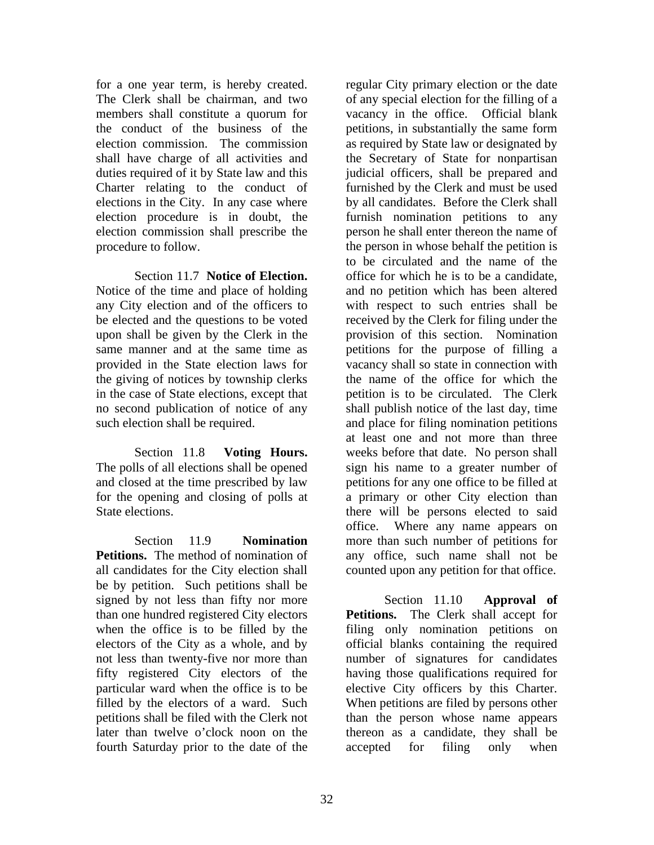for a one year term, is hereby created. The Clerk shall be chairman, and two members shall constitute a quorum for the conduct of the business of the election commission. The commission shall have charge of all activities and duties required of it by State law and this Charter relating to the conduct of elections in the City. In any case where election procedure is in doubt, the election commission shall prescribe the procedure to follow.

Section 11.7 **Notice of Election.** Notice of the time and place of holding any City election and of the officers to be elected and the questions to be voted upon shall be given by the Clerk in the same manner and at the same time as provided in the State election laws for the giving of notices by township clerks in the case of State elections, except that no second publication of notice of any such election shall be required.

Section 11.8 **Voting Hours.** The polls of all elections shall be opened and closed at the time prescribed by law for the opening and closing of polls at State elections.

Section 11.9 **Nomination Petitions.** The method of nomination of all candidates for the City election shall be by petition. Such petitions shall be signed by not less than fifty nor more than one hundred registered City electors when the office is to be filled by the electors of the City as a whole, and by not less than twenty-five nor more than fifty registered City electors of the particular ward when the office is to be filled by the electors of a ward. Such petitions shall be filed with the Clerk not later than twelve o'clock noon on the fourth Saturday prior to the date of the

regular City primary election or the date of any special election for the filling of a vacancy in the office. Official blank petitions, in substantially the same form as required by State law or designated by the Secretary of State for nonpartisan judicial officers, shall be prepared and furnished by the Clerk and must be used by all candidates. Before the Clerk shall furnish nomination petitions to any person he shall enter thereon the name of the person in whose behalf the petition is to be circulated and the name of the office for which he is to be a candidate, and no petition which has been altered with respect to such entries shall be received by the Clerk for filing under the provision of this section. Nomination petitions for the purpose of filling a vacancy shall so state in connection with the name of the office for which the petition is to be circulated. The Clerk shall publish notice of the last day, time and place for filing nomination petitions at least one and not more than three weeks before that date. No person shall sign his name to a greater number of petitions for any one office to be filled at a primary or other City election than there will be persons elected to said office. Where any name appears on more than such number of petitions for any office, such name shall not be counted upon any petition for that office.

Section 11.10 **Approval of Petitions.** The Clerk shall accept for filing only nomination petitions on official blanks containing the required number of signatures for candidates having those qualifications required for elective City officers by this Charter. When petitions are filed by persons other than the person whose name appears thereon as a candidate, they shall be accepted for filing only when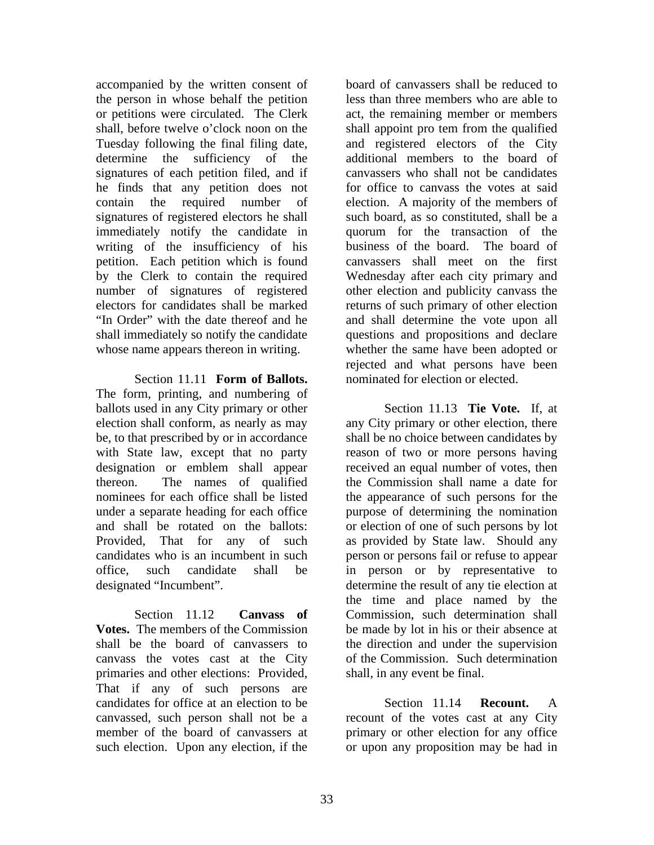accompanied by the written consent of the person in whose behalf the petition or petitions were circulated. The Clerk shall, before twelve o'clock noon on the Tuesday following the final filing date, determine the sufficiency of the signatures of each petition filed, and if he finds that any petition does not contain the required number of signatures of registered electors he shall immediately notify the candidate in writing of the insufficiency of his petition. Each petition which is found by the Clerk to contain the required number of signatures of registered electors for candidates shall be marked "In Order" with the date thereof and he shall immediately so notify the candidate whose name appears thereon in writing.

Section 11.11 **Form of Ballots.** The form, printing, and numbering of ballots used in any City primary or other election shall conform, as nearly as may be, to that prescribed by or in accordance with State law, except that no party designation or emblem shall appear thereon. The names of qualified nominees for each office shall be listed under a separate heading for each office and shall be rotated on the ballots: Provided, That for any of such candidates who is an incumbent in such office, such candidate shall be designated "Incumbent".

Section 11.12 **Canvass of Votes.** The members of the Commission shall be the board of canvassers to canvass the votes cast at the City primaries and other elections: Provided, That if any of such persons are candidates for office at an election to be canvassed, such person shall not be a member of the board of canvassers at such election. Upon any election, if the

board of canvassers shall be reduced to less than three members who are able to act, the remaining member or members shall appoint pro tem from the qualified and registered electors of the City additional members to the board of canvassers who shall not be candidates for office to canvass the votes at said election. A majority of the members of such board, as so constituted, shall be a quorum for the transaction of the business of the board. The board of canvassers shall meet on the first Wednesday after each city primary and other election and publicity canvass the returns of such primary of other election and shall determine the vote upon all questions and propositions and declare whether the same have been adopted or rejected and what persons have been nominated for election or elected.

Section 11.13 **Tie Vote.** If, at any City primary or other election, there shall be no choice between candidates by reason of two or more persons having received an equal number of votes, then the Commission shall name a date for the appearance of such persons for the purpose of determining the nomination or election of one of such persons by lot as provided by State law. Should any person or persons fail or refuse to appear in person or by representative to determine the result of any tie election at the time and place named by the Commission, such determination shall be made by lot in his or their absence at the direction and under the supervision of the Commission. Such determination shall, in any event be final.

Section 11.14 **Recount.** A recount of the votes cast at any City primary or other election for any office or upon any proposition may be had in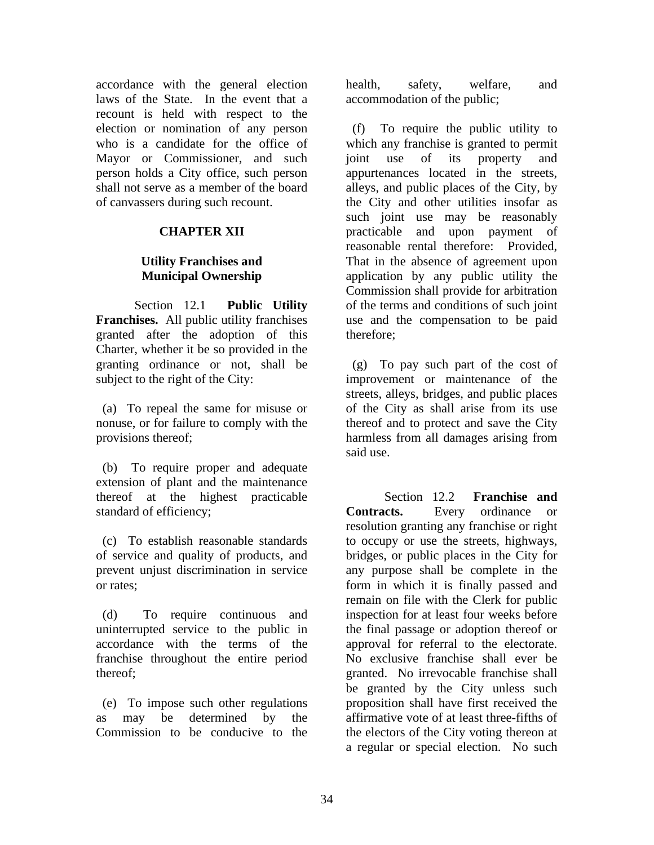accordance with the general election laws of the State. In the event that a recount is held with respect to the election or nomination of any person who is a candidate for the office of Mayor or Commissioner, and such person holds a City office, such person shall not serve as a member of the board of canvassers during such recount.

# **CHAPTER XII**

# **Utility Franchises and Municipal Ownership**

Section 12.1 **Public Utility Franchises.** All public utility franchises granted after the adoption of this Charter, whether it be so provided in the granting ordinance or not, shall be subject to the right of the City:

 (a) To repeal the same for misuse or nonuse, or for failure to comply with the provisions thereof;

 (b) To require proper and adequate extension of plant and the maintenance thereof at the highest practicable standard of efficiency;

 (c) To establish reasonable standards of service and quality of products, and prevent unjust discrimination in service or rates;

 (d) To require continuous and uninterrupted service to the public in accordance with the terms of the franchise throughout the entire period thereof;

 (e) To impose such other regulations as may be determined by the Commission to be conducive to the health, safety, welfare, and accommodation of the public;

 (f) To require the public utility to which any franchise is granted to permit joint use of its property and appurtenances located in the streets, alleys, and public places of the City, by the City and other utilities insofar as such joint use may be reasonably practicable and upon payment of reasonable rental therefore: Provided, That in the absence of agreement upon application by any public utility the Commission shall provide for arbitration of the terms and conditions of such joint use and the compensation to be paid therefore;

 (g) To pay such part of the cost of improvement or maintenance of the streets, alleys, bridges, and public places of the City as shall arise from its use thereof and to protect and save the City harmless from all damages arising from said use.

Section 12.2 **Franchise and Contracts.** Every ordinance or resolution granting any franchise or right to occupy or use the streets, highways, bridges, or public places in the City for any purpose shall be complete in the form in which it is finally passed and remain on file with the Clerk for public inspection for at least four weeks before the final passage or adoption thereof or approval for referral to the electorate. No exclusive franchise shall ever be granted. No irrevocable franchise shall be granted by the City unless such proposition shall have first received the affirmative vote of at least three-fifths of the electors of the City voting thereon at a regular or special election. No such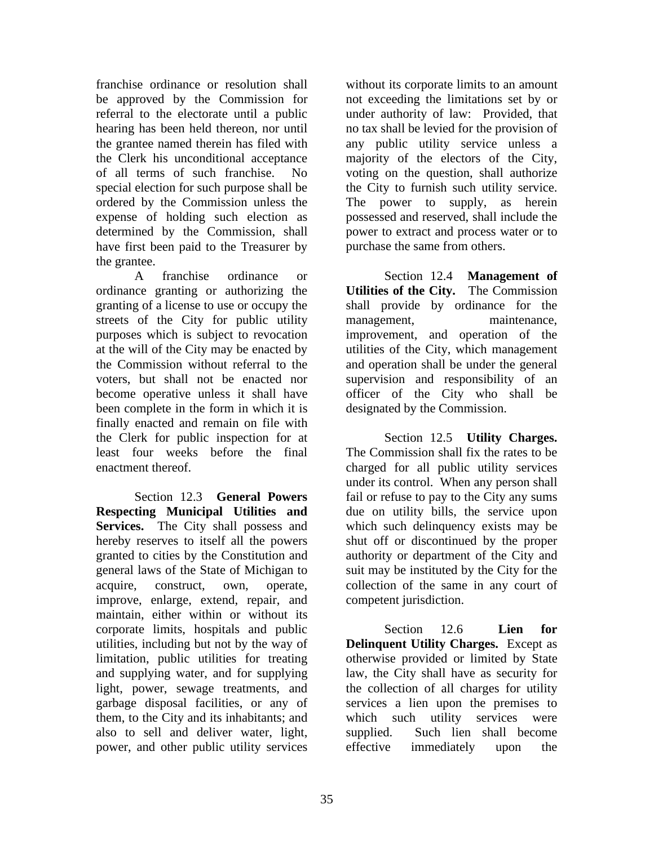franchise ordinance or resolution shall be approved by the Commission for referral to the electorate until a public hearing has been held thereon, nor until the grantee named therein has filed with the Clerk his unconditional acceptance of all terms of such franchise. No special election for such purpose shall be ordered by the Commission unless the expense of holding such election as determined by the Commission, shall have first been paid to the Treasurer by the grantee.

A franchise ordinance or ordinance granting or authorizing the granting of a license to use or occupy the streets of the City for public utility purposes which is subject to revocation at the will of the City may be enacted by the Commission without referral to the voters, but shall not be enacted nor become operative unless it shall have been complete in the form in which it is finally enacted and remain on file with the Clerk for public inspection for at least four weeks before the final enactment thereof.

Section 12.3 **General Powers Respecting Municipal Utilities and**  Services. The City shall possess and hereby reserves to itself all the powers granted to cities by the Constitution and general laws of the State of Michigan to acquire, construct, own, operate, improve, enlarge, extend, repair, and maintain, either within or without its corporate limits, hospitals and public utilities, including but not by the way of limitation, public utilities for treating and supplying water, and for supplying light, power, sewage treatments, and garbage disposal facilities, or any of them, to the City and its inhabitants; and also to sell and deliver water, light, power, and other public utility services

without its corporate limits to an amount not exceeding the limitations set by or under authority of law: Provided, that no tax shall be levied for the provision of any public utility service unless a majority of the electors of the City, voting on the question, shall authorize the City to furnish such utility service. The power to supply, as herein possessed and reserved, shall include the power to extract and process water or to purchase the same from others.

Section 12.4 **Management of Utilities of the City.** The Commission shall provide by ordinance for the management, maintenance, improvement, and operation of the utilities of the City, which management and operation shall be under the general supervision and responsibility of an officer of the City who shall be designated by the Commission.

Section 12.5 **Utility Charges.** The Commission shall fix the rates to be charged for all public utility services under its control. When any person shall fail or refuse to pay to the City any sums due on utility bills, the service upon which such delinquency exists may be shut off or discontinued by the proper authority or department of the City and suit may be instituted by the City for the collection of the same in any court of competent jurisdiction.

Section 12.6 **Lien for Delinquent Utility Charges.** Except as otherwise provided or limited by State law, the City shall have as security for the collection of all charges for utility services a lien upon the premises to which such utility services were supplied. Such lien shall become effective immediately upon the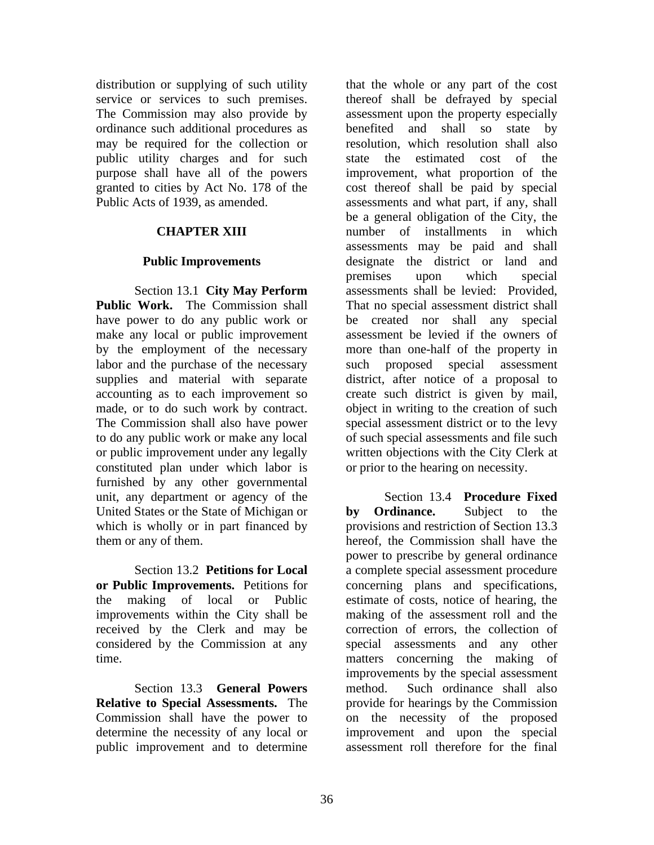distribution or supplying of such utility service or services to such premises. The Commission may also provide by ordinance such additional procedures as may be required for the collection or public utility charges and for such purpose shall have all of the powers granted to cities by Act No. 178 of the Public Acts of 1939, as amended.

# **CHAPTER XIII**

# **Public Improvements**

Section 13.1 **City May Perform Public Work.** The Commission shall have power to do any public work or make any local or public improvement by the employment of the necessary labor and the purchase of the necessary supplies and material with separate accounting as to each improvement so made, or to do such work by contract. The Commission shall also have power to do any public work or make any local or public improvement under any legally constituted plan under which labor is furnished by any other governmental unit, any department or agency of the United States or the State of Michigan or which is wholly or in part financed by them or any of them.

Section 13.2 **Petitions for Local or Public Improvements.** Petitions for the making of local or Public improvements within the City shall be received by the Clerk and may be considered by the Commission at any time.

Section 13.3 **General Powers Relative to Special Assessments.** The Commission shall have the power to determine the necessity of any local or public improvement and to determine

that the whole or any part of the cost thereof shall be defrayed by special assessment upon the property especially benefited and shall so state by resolution, which resolution shall also state the estimated cost of the improvement, what proportion of the cost thereof shall be paid by special assessments and what part, if any, shall be a general obligation of the City, the number of installments in which assessments may be paid and shall designate the district or land and premises upon which special assessments shall be levied: Provided, That no special assessment district shall be created nor shall any special assessment be levied if the owners of more than one-half of the property in such proposed special assessment district, after notice of a proposal to create such district is given by mail, object in writing to the creation of such special assessment district or to the levy of such special assessments and file such written objections with the City Clerk at or prior to the hearing on necessity.

Section 13.4 **Procedure Fixed by Ordinance.** Subject to the provisions and restriction of Section 13.3 hereof, the Commission shall have the power to prescribe by general ordinance a complete special assessment procedure concerning plans and specifications, estimate of costs, notice of hearing, the making of the assessment roll and the correction of errors, the collection of special assessments and any other matters concerning the making of improvements by the special assessment method. Such ordinance shall also provide for hearings by the Commission on the necessity of the proposed improvement and upon the special assessment roll therefore for the final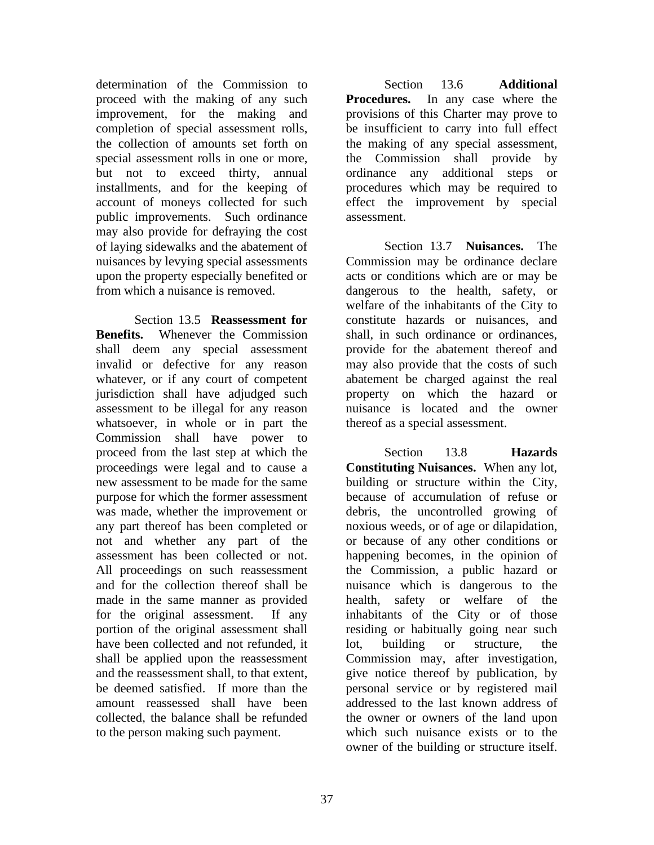determination of the Commission to proceed with the making of any such improvement, for the making and completion of special assessment rolls, the collection of amounts set forth on special assessment rolls in one or more, but not to exceed thirty, annual installments, and for the keeping of account of moneys collected for such public improvements. Such ordinance may also provide for defraying the cost of laying sidewalks and the abatement of nuisances by levying special assessments upon the property especially benefited or from which a nuisance is removed.

Section 13.5 **Reassessment for Benefits.** Whenever the Commission shall deem any special assessment invalid or defective for any reason whatever, or if any court of competent jurisdiction shall have adjudged such assessment to be illegal for any reason whatsoever, in whole or in part the Commission shall have power to proceed from the last step at which the proceedings were legal and to cause a new assessment to be made for the same purpose for which the former assessment was made, whether the improvement or any part thereof has been completed or not and whether any part of the assessment has been collected or not. All proceedings on such reassessment and for the collection thereof shall be made in the same manner as provided for the original assessment. If any portion of the original assessment shall have been collected and not refunded, it shall be applied upon the reassessment and the reassessment shall, to that extent, be deemed satisfied. If more than the amount reassessed shall have been collected, the balance shall be refunded to the person making such payment.

Section 13.6 **Additional Procedures.** In any case where the provisions of this Charter may prove to be insufficient to carry into full effect the making of any special assessment, the Commission shall provide by ordinance any additional steps or procedures which may be required to effect the improvement by special assessment.

Section 13.7 **Nuisances.** The Commission may be ordinance declare acts or conditions which are or may be dangerous to the health, safety, or welfare of the inhabitants of the City to constitute hazards or nuisances, and shall, in such ordinance or ordinances, provide for the abatement thereof and may also provide that the costs of such abatement be charged against the real property on which the hazard or nuisance is located and the owner thereof as a special assessment.

Section 13.8 **Hazards Constituting Nuisances.** When any lot, building or structure within the City, because of accumulation of refuse or debris, the uncontrolled growing of noxious weeds, or of age or dilapidation, or because of any other conditions or happening becomes, in the opinion of the Commission, a public hazard or nuisance which is dangerous to the health, safety or welfare of the inhabitants of the City or of those residing or habitually going near such lot, building or structure, the Commission may, after investigation, give notice thereof by publication, by personal service or by registered mail addressed to the last known address of the owner or owners of the land upon which such nuisance exists or to the owner of the building or structure itself.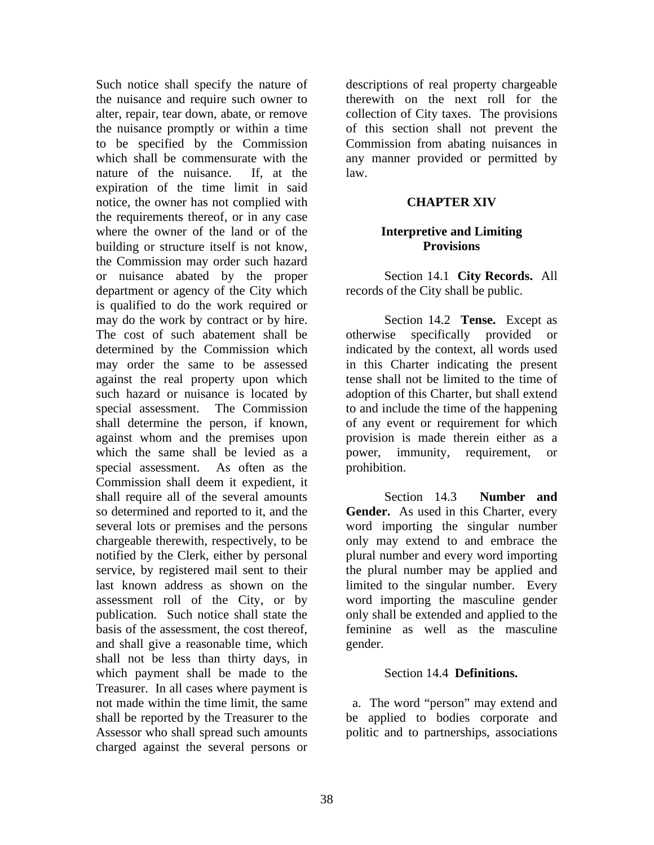Such notice shall specify the nature of the nuisance and require such owner to alter, repair, tear down, abate, or remove the nuisance promptly or within a time to be specified by the Commission which shall be commensurate with the nature of the nuisance. If, at the expiration of the time limit in said notice, the owner has not complied with the requirements thereof, or in any case where the owner of the land or of the building or structure itself is not know, the Commission may order such hazard or nuisance abated by the proper department or agency of the City which is qualified to do the work required or may do the work by contract or by hire. The cost of such abatement shall be determined by the Commission which may order the same to be assessed against the real property upon which such hazard or nuisance is located by special assessment. The Commission shall determine the person, if known, against whom and the premises upon which the same shall be levied as a special assessment. As often as the Commission shall deem it expedient, it shall require all of the several amounts so determined and reported to it, and the several lots or premises and the persons chargeable therewith, respectively, to be notified by the Clerk, either by personal service, by registered mail sent to their last known address as shown on the assessment roll of the City, or by publication. Such notice shall state the basis of the assessment, the cost thereof, and shall give a reasonable time, which shall not be less than thirty days, in which payment shall be made to the Treasurer. In all cases where payment is not made within the time limit, the same shall be reported by the Treasurer to the Assessor who shall spread such amounts charged against the several persons or

descriptions of real property chargeable therewith on the next roll for the collection of City taxes. The provisions of this section shall not prevent the Commission from abating nuisances in any manner provided or permitted by law.

#### **CHAPTER XIV**

#### **Interpretive and Limiting Provisions**

Section 14.1 **City Records.** All records of the City shall be public.

Section 14.2 **Tense.** Except as otherwise specifically provided or indicated by the context, all words used in this Charter indicating the present tense shall not be limited to the time of adoption of this Charter, but shall extend to and include the time of the happening of any event or requirement for which provision is made therein either as a power, immunity, requirement, or prohibition.

Section 14.3 **Number and Gender.** As used in this Charter, every word importing the singular number only may extend to and embrace the plural number and every word importing the plural number may be applied and limited to the singular number. Every word importing the masculine gender only shall be extended and applied to the feminine as well as the masculine gender.

#### Section 14.4 **Definitions.**

 a. The word "person" may extend and be applied to bodies corporate and politic and to partnerships, associations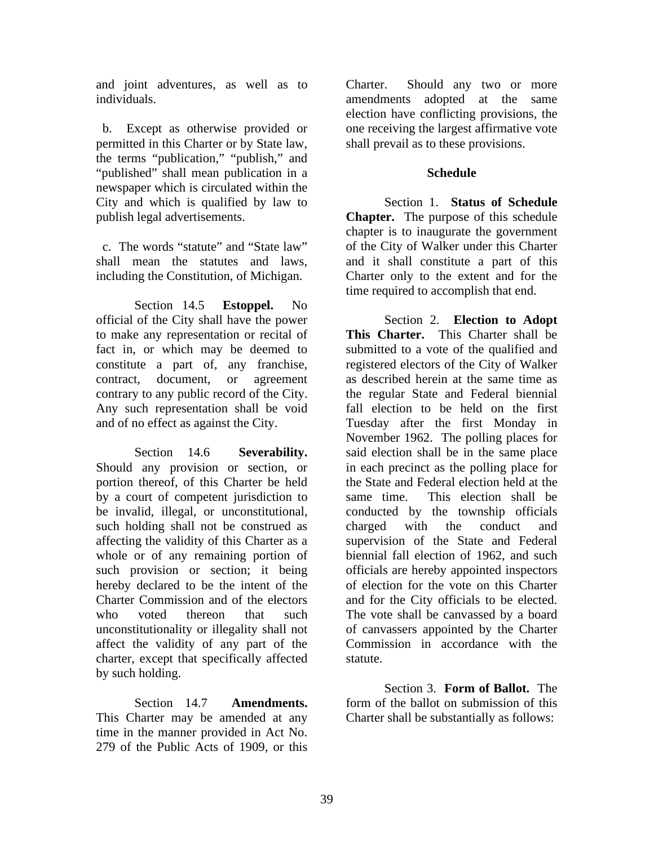and joint adventures, as well as to individuals.

 b. Except as otherwise provided or permitted in this Charter or by State law, the terms "publication," "publish," and "published" shall mean publication in a newspaper which is circulated within the City and which is qualified by law to publish legal advertisements.

 c. The words "statute" and "State law" shall mean the statutes and laws, including the Constitution, of Michigan.

Section 14.5 **Estoppel.** No official of the City shall have the power to make any representation or recital of fact in, or which may be deemed to constitute a part of, any franchise, contract, document, or agreement contrary to any public record of the City. Any such representation shall be void and of no effect as against the City.

Section 14.6 **Severability.** Should any provision or section, or portion thereof, of this Charter be held by a court of competent jurisdiction to be invalid, illegal, or unconstitutional, such holding shall not be construed as affecting the validity of this Charter as a whole or of any remaining portion of such provision or section; it being hereby declared to be the intent of the Charter Commission and of the electors who voted thereon that such unconstitutionality or illegality shall not affect the validity of any part of the charter, except that specifically affected by such holding.

Section 14.7 **Amendments.** This Charter may be amended at any time in the manner provided in Act No. 279 of the Public Acts of 1909, or this

Charter. Should any two or more amendments adopted at the same election have conflicting provisions, the one receiving the largest affirmative vote shall prevail as to these provisions.

### **Schedule**

Section 1. **Status of Schedule Chapter.** The purpose of this schedule chapter is to inaugurate the government of the City of Walker under this Charter and it shall constitute a part of this Charter only to the extent and for the time required to accomplish that end.

Section 2. **Election to Adopt This Charter.** This Charter shall be submitted to a vote of the qualified and registered electors of the City of Walker as described herein at the same time as the regular State and Federal biennial fall election to be held on the first Tuesday after the first Monday in November 1962. The polling places for said election shall be in the same place in each precinct as the polling place for the State and Federal election held at the same time. This election shall be conducted by the township officials charged with the conduct and supervision of the State and Federal biennial fall election of 1962, and such officials are hereby appointed inspectors of election for the vote on this Charter and for the City officials to be elected. The vote shall be canvassed by a board of canvassers appointed by the Charter Commission in accordance with the statute.

Section 3. **Form of Ballot.** The form of the ballot on submission of this Charter shall be substantially as follows: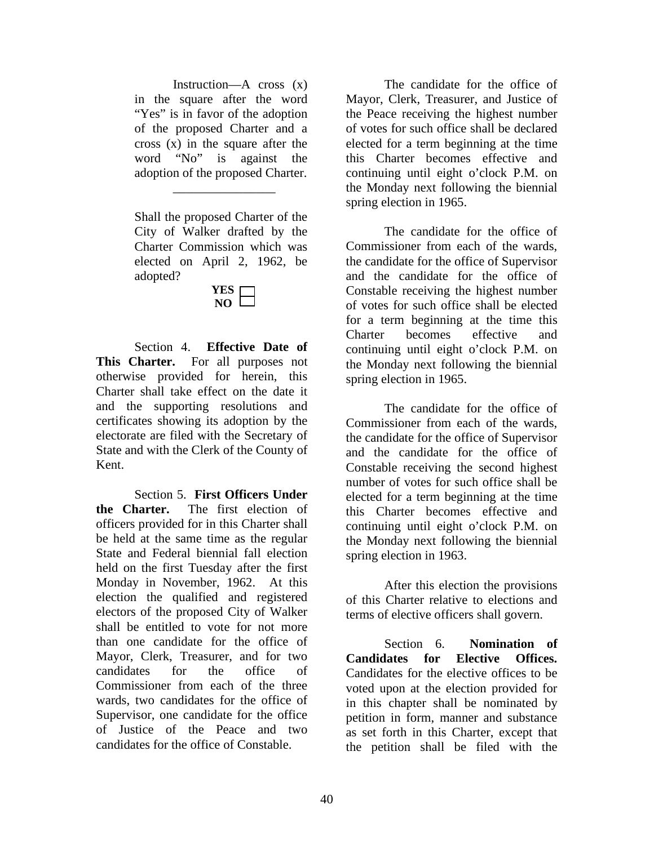Instruction—A cross (x) in the square after the word "Yes" is in favor of the adoption of the proposed Charter and a cross (x) in the square after the word "No" is against the adoption of the proposed Charter.

Shall the proposed Charter of the City of Walker drafted by the Charter Commission which was elected on April 2, 1962, be adopted?

\_\_\_\_\_\_\_\_\_\_\_\_\_\_\_\_

**YES NO**

Section 4. **Effective Date of This Charter.** For all purposes not otherwise provided for herein, this Charter shall take effect on the date it and the supporting resolutions and certificates showing its adoption by the electorate are filed with the Secretary of State and with the Clerk of the County of Kent.

Section 5. **First Officers Under the Charter.** The first election of officers provided for in this Charter shall be held at the same time as the regular State and Federal biennial fall election held on the first Tuesday after the first Monday in November, 1962. At this election the qualified and registered electors of the proposed City of Walker shall be entitled to vote for not more than one candidate for the office of Mayor, Clerk, Treasurer, and for two candidates for the office of Commissioner from each of the three wards, two candidates for the office of Supervisor, one candidate for the office of Justice of the Peace and two candidates for the office of Constable.

The candidate for the office of Mayor, Clerk, Treasurer, and Justice of the Peace receiving the highest number of votes for such office shall be declared elected for a term beginning at the time this Charter becomes effective and continuing until eight o'clock P.M. on the Monday next following the biennial spring election in 1965.

The candidate for the office of Commissioner from each of the wards, the candidate for the office of Supervisor and the candidate for the office of Constable receiving the highest number of votes for such office shall be elected for a term beginning at the time this Charter becomes effective and continuing until eight o'clock P.M. on the Monday next following the biennial spring election in 1965.

The candidate for the office of Commissioner from each of the wards, the candidate for the office of Supervisor and the candidate for the office of Constable receiving the second highest number of votes for such office shall be elected for a term beginning at the time this Charter becomes effective and continuing until eight o'clock P.M. on the Monday next following the biennial spring election in 1963.

After this election the provisions of this Charter relative to elections and terms of elective officers shall govern.

Section 6. **Nomination of Candidates for Elective Offices.** Candidates for the elective offices to be voted upon at the election provided for in this chapter shall be nominated by petition in form, manner and substance as set forth in this Charter, except that the petition shall be filed with the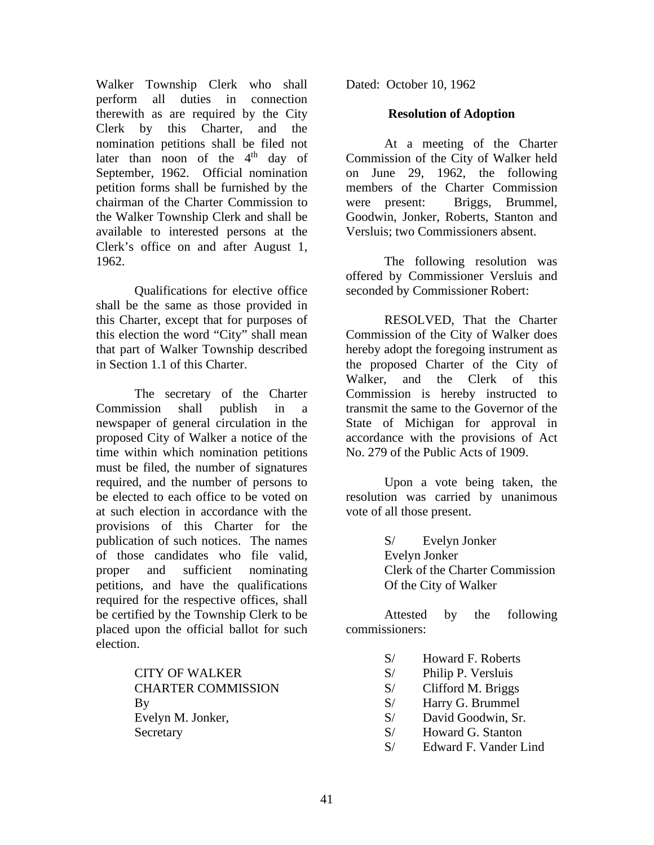Walker Township Clerk who shall perform all duties in connection therewith as are required by the City Clerk by this Charter, and the nomination petitions shall be filed not later than noon of the  $4<sup>th</sup>$  day of September, 1962. Official nomination petition forms shall be furnished by the chairman of the Charter Commission to the Walker Township Clerk and shall be available to interested persons at the Clerk's office on and after August 1, 1962.

Qualifications for elective office shall be the same as those provided in this Charter, except that for purposes of this election the word "City" shall mean that part of Walker Township described in Section 1.1 of this Charter.

The secretary of the Charter Commission shall publish in a newspaper of general circulation in the proposed City of Walker a notice of the time within which nomination petitions must be filed, the number of signatures required, and the number of persons to be elected to each office to be voted on at such election in accordance with the provisions of this Charter for the publication of such notices. The names of those candidates who file valid, proper and sufficient nominating petitions, and have the qualifications required for the respective offices, shall be certified by the Township Clerk to be placed upon the official ballot for such election.

> CITY OF WALKER CHARTER COMMISSION By Evelyn M. Jonker, **Secretary**

Dated: October 10, 1962

### **Resolution of Adoption**

At a meeting of the Charter Commission of the City of Walker held on June 29, 1962, the following members of the Charter Commission were present: Briggs, Brummel, Goodwin, Jonker, Roberts, Stanton and Versluis; two Commissioners absent.

The following resolution was offered by Commissioner Versluis and seconded by Commissioner Robert:

RESOLVED, That the Charter Commission of the City of Walker does hereby adopt the foregoing instrument as the proposed Charter of the City of Walker, and the Clerk of this Commission is hereby instructed to transmit the same to the Governor of the State of Michigan for approval in accordance with the provisions of Act No. 279 of the Public Acts of 1909.

Upon a vote being taken, the resolution was carried by unanimous vote of all those present.

> S/ Evelyn Jonker Evelyn Jonker Clerk of the Charter Commission Of the City of Walker

Attested by the following commissioners:

- S/ Howard F. Roberts
- S/ Philip P. Versluis
- S/ Clifford M. Briggs
- S/ Harry G. Brummel
- S/ David Goodwin, Sr.
- S/ Howard G. Stanton
- S/ Edward F. Vander Lind